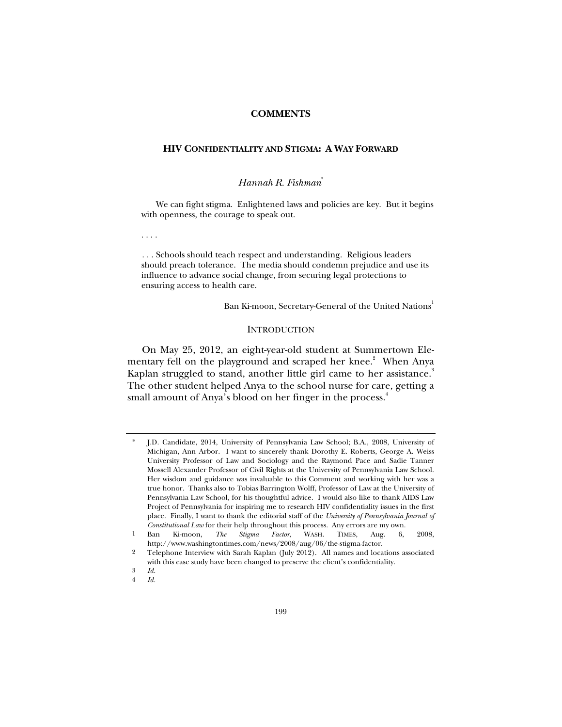### **COMMENTS**

## **HIV CONFIDENTIALITY AND STIGMA: A WAY FORWARD**

# *Hannah R. Fishman*\*

We can fight stigma. Enlightened laws and policies are key. But it begins with openness, the courage to speak out.

. . . .

. . . Schools should teach respect and understanding. Religious leaders should preach tolerance. The media should condemn prejudice and use its influence to advance social change, from securing legal protections to ensuring access to health care.

Ban Ki-moon, Secretary-General of the United Nations<sup>1</sup>

### **INTRODUCTION**

On May 25, 2012, an eight-year-old student at Summertown Elementary fell on the playground and scraped her knee.<sup>2</sup> When Anya Kaplan struggled to stand, another little girl came to her assistance.<sup>3</sup> The other student helped Anya to the school nurse for care, getting a small amount of Anya's blood on her finger in the process.<sup>4</sup>

J.D. Candidate, 2014, University of Pennsylvania Law School; B.A., 2008, University of Michigan, Ann Arbor. I want to sincerely thank Dorothy E. Roberts, George A. Weiss University Professor of Law and Sociology and the Raymond Pace and Sadie Tanner Mossell Alexander Professor of Civil Rights at the University of Pennsylvania Law School. Her wisdom and guidance was invaluable to this Comment and working with her was a true honor. Thanks also to Tobias Barrington Wolff, Professor of Law at the University of Pennsylvania Law School, for his thoughtful advice. I would also like to thank AIDS Law Project of Pennsylvania for inspiring me to research HIV confidentiality issues in the first place. Finally, I want to thank the editorial staff of the *University of Pennsylvania Journal of Constitutional Law* for their help throughout this process. Any errors are my own.

<sup>1</sup> Ban Ki-moon, *The Stigma Factor*, WASH. TIMES, Aug. 6, 2008, http://www.washingtontimes.com/news/2008/aug/06/the-stigma-factor.

<sup>2</sup> Telephone Interview with Sarah Kaplan (July 2012). All names and locations associated with this case study have been changed to preserve the client's confidentiality.

<sup>3</sup> *Id.*

<sup>4</sup> *Id.*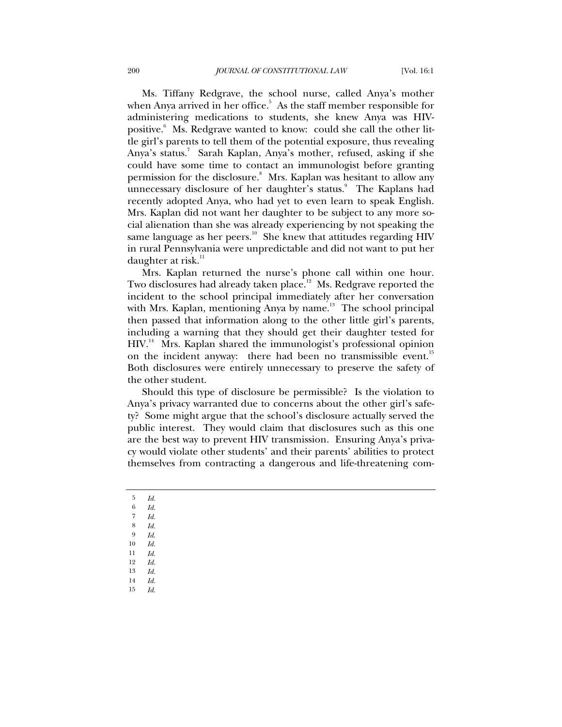Ms. Tiffany Redgrave, the school nurse, called Anya's mother when Anya arrived in her office. $5$  As the staff member responsible for administering medications to students, she knew Anya was HIVpositive.<sup>6</sup> Ms. Redgrave wanted to know: could she call the other little girl's parents to tell them of the potential exposure, thus revealing Anya's status.<sup>7</sup> Sarah Kaplan, Anya's mother, refused, asking if she could have some time to contact an immunologist before granting permission for the disclosure.<sup>8</sup> Mrs. Kaplan was hesitant to allow any unnecessary disclosure of her daughter's status.<sup>9</sup> The Kaplans had recently adopted Anya, who had yet to even learn to speak English. Mrs. Kaplan did not want her daughter to be subject to any more social alienation than she was already experiencing by not speaking the same language as her peers.<sup>10</sup> She knew that attitudes regarding HIV in rural Pennsylvania were unpredictable and did not want to put her daughter at risk. $11$ 

Mrs. Kaplan returned the nurse's phone call within one hour. Two disclosures had already taken place.<sup>12</sup> Ms. Redgrave reported the incident to the school principal immediately after her conversation with Mrs. Kaplan, mentioning Anya by name.<sup>13</sup> The school principal then passed that information along to the other little girl's parents, including a warning that they should get their daughter tested for HIV.14 Mrs. Kaplan shared the immunologist's professional opinion on the incident anyway: there had been no transmissible event.<sup>15</sup> Both disclosures were entirely unnecessary to preserve the safety of the other student.

Should this type of disclosure be permissible? Is the violation to Anya's privacy warranted due to concerns about the other girl's safety? Some might argue that the school's disclosure actually served the public interest. They would claim that disclosures such as this one are the best way to prevent HIV transmission. Ensuring Anya's privacy would violate other students' and their parents' abilities to protect themselves from contracting a dangerous and life-threatening com-

- 5 *Id.*
- 6 *Id.* 7 *Id.*
- 8 *Id.*
- $\begin{array}{cc} 9 & Id. \\ 10 & Id. \end{array}$
- 10 *Id.*
- 11 *Id.*
- 12 *Id.*
- 13 *Id.*
- 14 *Id.*
- 15 *Id.*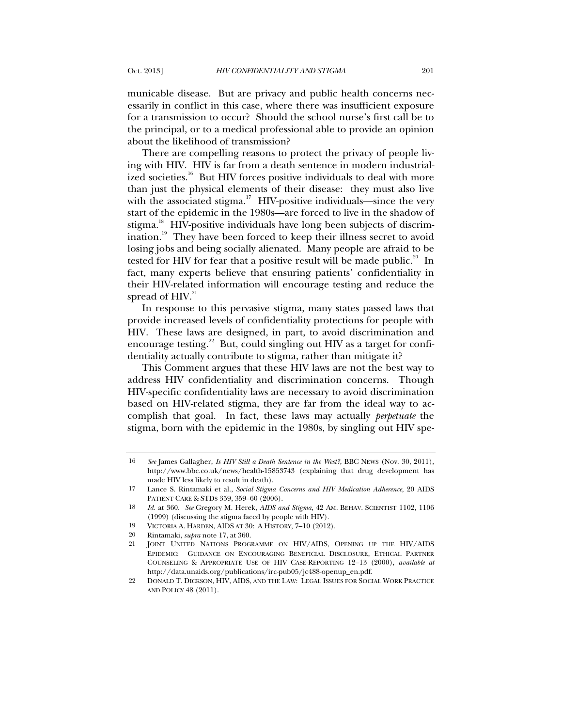municable disease. But are privacy and public health concerns necessarily in conflict in this case, where there was insufficient exposure for a transmission to occur? Should the school nurse's first call be to the principal, or to a medical professional able to provide an opinion about the likelihood of transmission?

There are compelling reasons to protect the privacy of people living with HIV. HIV is far from a death sentence in modern industrialized societies.<sup>16</sup> But HIV forces positive individuals to deal with more than just the physical elements of their disease: they must also live with the associated stigma.<sup>17</sup> HIV-positive individuals—since the very start of the epidemic in the 1980s—are forced to live in the shadow of stigma.<sup>18</sup> HIV-positive individuals have long been subjects of discrimination.<sup>19</sup> They have been forced to keep their illness secret to avoid losing jobs and being socially alienated. Many people are afraid to be tested for HIV for fear that a positive result will be made public.<sup>20</sup> In fact, many experts believe that ensuring patients' confidentiality in their HIV-related information will encourage testing and reduce the spread of  $HIV.<sup>21</sup>$ 

<span id="page-2-0"></span>In response to this pervasive stigma, many states passed laws that provide increased levels of confidentiality protections for people with HIV. These laws are designed, in part, to avoid discrimination and encourage testing.<sup>22</sup> But, could singling out HIV as a target for confidentiality actually contribute to stigma, rather than mitigate it?

<span id="page-2-1"></span>This Comment argues that these HIV laws are not the best way to address HIV confidentiality and discrimination concerns. Though HIV-specific confidentiality laws are necessary to avoid discrimination based on HIV-related stigma, they are far from the ideal way to accomplish that goal. In fact, these laws may actually *perpetuate* the stigma, born with the epidemic in the 1980s, by singling out HIV spe-

<sup>16</sup> *See* James Gallagher, *Is HIV Still a Death Sentence in the West?*, BBC NEWS (Nov. 30, 2011), http://www.bbc.co.uk/news/health-15853743 (explaining that drug development has made HIV less likely to result in death).

<sup>17</sup> Lance S. Rintamaki et al., *Social Stigma Concerns and HIV Medication Adherence*, 20 AIDS PATIENT CARE & STDS 359, 359–60 (2006).

<sup>18</sup> *Id.* at 360. *See* Gregory M. Herek, *AIDS and Stigma*, 42 AM. BEHAV. SCIENTIST 1102, 1106 (1999) (discussing the stigma faced by people with HIV).

<sup>19</sup> VICTORIA A. HARDEN, AIDS AT 30: A HISTORY, 7–10 (2012).

<sup>20</sup> Rintamaki, *supra* note 17, at 360.

<sup>21</sup> JOINT UNITED NATIONS PROGRAMME ON HIV/AIDS, OPENING UP THE HIV/AIDS EPIDEMIC: GUIDANCE ON ENCOURAGING BENEFICIAL DISCLOSURE, ETHICAL PARTNER COUNSELING & APPROPRIATE USE OF HIV CASE-REPORTING 12–13 (2000), *available at* http://data.unaids.org/publications/irc-pub05/jc488-openup\_en.pdf.

<sup>22</sup> DONALD T. DICKSON, HIV, AIDS, AND THE LAW: LEGAL ISSUES FOR SOCIAL WORK PRACTICE AND POLICY 48 (2011).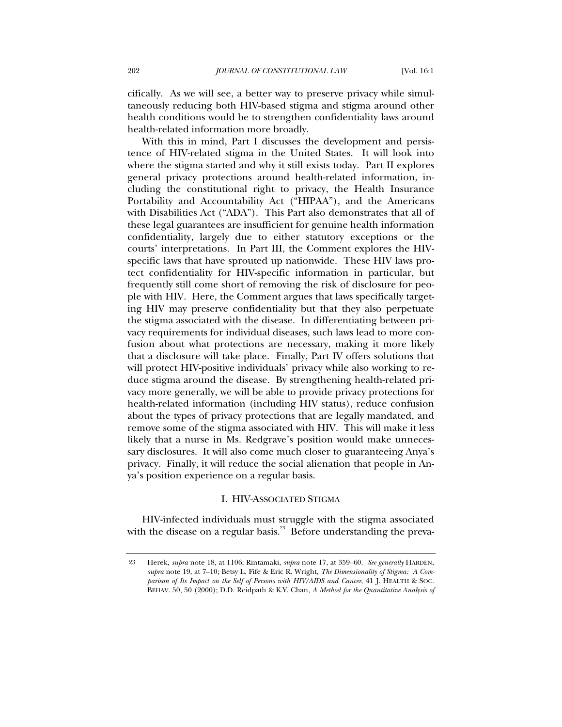cifically. As we will see, a better way to preserve privacy while simultaneously reducing both HIV-based stigma and stigma around other health conditions would be to strengthen confidentiality laws around health-related information more broadly.

With this in mind, Part I discusses the development and persistence of HIV-related stigma in the United States. It will look into where the stigma started and why it still exists today. Part II explores general privacy protections around health-related information, including the constitutional right to privacy, the Health Insurance Portability and Accountability Act ("HIPAA"), and the Americans with Disabilities Act ("ADA"). This Part also demonstrates that all of these legal guarantees are insufficient for genuine health information confidentiality, largely due to either statutory exceptions or the courts' interpretations. In Part III, the Comment explores the HIVspecific laws that have sprouted up nationwide. These HIV laws protect confidentiality for HIV-specific information in particular, but frequently still come short of removing the risk of disclosure for people with HIV. Here, the Comment argues that laws specifically targeting HIV may preserve confidentiality but that they also perpetuate the stigma associated with the disease. In differentiating between privacy requirements for individual diseases, such laws lead to more confusion about what protections are necessary, making it more likely that a disclosure will take place. Finally, Part IV offers solutions that will protect HIV-positive individuals' privacy while also working to reduce stigma around the disease. By strengthening health-related privacy more generally, we will be able to provide privacy protections for health-related information (including HIV status), reduce confusion about the types of privacy protections that are legally mandated, and remove some of the stigma associated with HIV. This will make it less likely that a nurse in Ms. Redgrave's position would make unnecessary disclosures. It will also come much closer to guaranteeing Anya's privacy. Finally, it will reduce the social alienation that people in Anya's position experience on a regular basis.

## I. HIV-ASSOCIATED STIGMA

HIV-infected individuals must struggle with the stigma associated with the disease on a regular basis.<sup>23</sup> Before understanding the preva-

<sup>23</sup> Herek, *supra* note 18, at 1106; Rintamaki, *supra* note 17, at 359–60. *See generally* HARDEN, *supra* note [19,](#page-2-0) at 7–10; Betsy L. Fife & Eric R. Wright, *The Dimensionality of Stigma: A Comparison of Its Impact on the Self of Persons with HIV/AIDS and Cancer*, 41 J. HEALTH & SOC. BEHAV. 50, 50 (2000); D.D. Reidpath & K.Y. Chan, *A Method for the Quantitative Analysis of*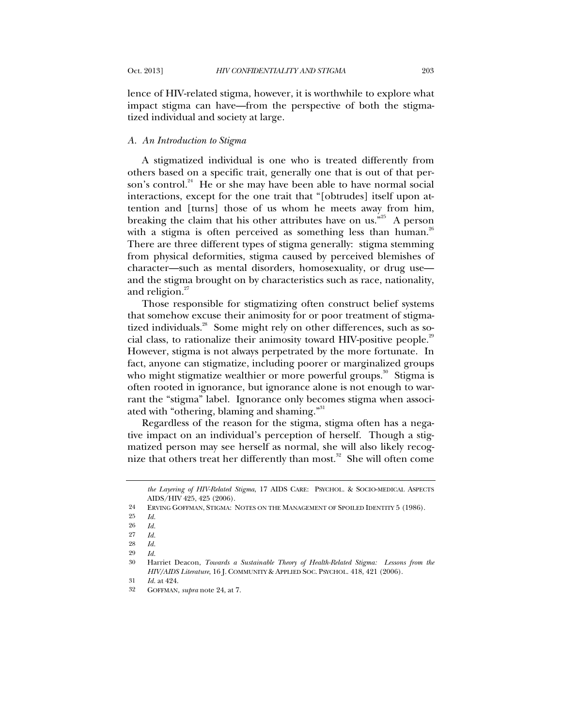lence of HIV-related stigma, however, it is worthwhile to explore what impact stigma can have—from the perspective of both the stigmatized individual and society at large.

## *A. An Introduction to Stigma*

A stigmatized individual is one who is treated differently from others based on a specific trait, generally one that is out of that person's control.<sup>24</sup> He or she may have been able to have normal social interactions, except for the one trait that "[obtrudes] itself upon attention and [turns] those of us whom he meets away from him, breaking the claim that his other attributes have on us."<sup>25</sup> A person with a stigma is often perceived as something less than human.<sup>26</sup> There are three different types of stigma generally: stigma stemming from physical deformities, stigma caused by perceived blemishes of character—such as mental disorders, homosexuality, or drug use and the stigma brought on by characteristics such as race, nationality, and religion.<sup>27</sup>

Those responsible for stigmatizing often construct belief systems that somehow excuse their animosity for or poor treatment of stigmatized individuals.<sup>28</sup> Some might rely on other differences, such as social class, to rationalize their animosity toward HIV-positive people.<sup>29</sup> However, stigma is not always perpetrated by the more fortunate. In fact, anyone can stigmatize, including poorer or marginalized groups who might stigmatize wealthier or more powerful groups. $^{30}$  Stigma is often rooted in ignorance, but ignorance alone is not enough to warrant the "stigma" label. Ignorance only becomes stigma when associated with "othering, blaming and shaming."<sup>31</sup>

Regardless of the reason for the stigma, stigma often has a negative impact on an individual's perception of herself. Though a stigmatized person may see herself as normal, she will also likely recognize that others treat her differently than most. $32$  She will often come

*the Layering of HIV-Related Stigma*, 17 AIDS CARE: PSYCHOL. & SOCIO-MEDICAL ASPECTS AIDS/HIV 425, 425 (2006).

<sup>24</sup> ERVING GOFFMAN, STIGMA: NOTES ON THE MANAGEMENT OF SPOILED IDENTITY 5 (1986).

<sup>25</sup> *Id.*

<sup>26</sup> *Id.*

<sup>27</sup> *Id.*

<sup>28</sup> *Id.*

<sup>29</sup> *Id.*

<sup>30</sup> Harriet Deacon, *Towards a Sustainable Theory of Health-Related Stigma: Lessons from the HIV/AIDS Literature*, 16 J. COMMUNITY & APPLIED SOC. PSYCHOL. 418, 421 (2006).

<sup>31</sup> *Id.* at 424.

<sup>32</sup> GOFFMAN, *supra* note 24, at 7.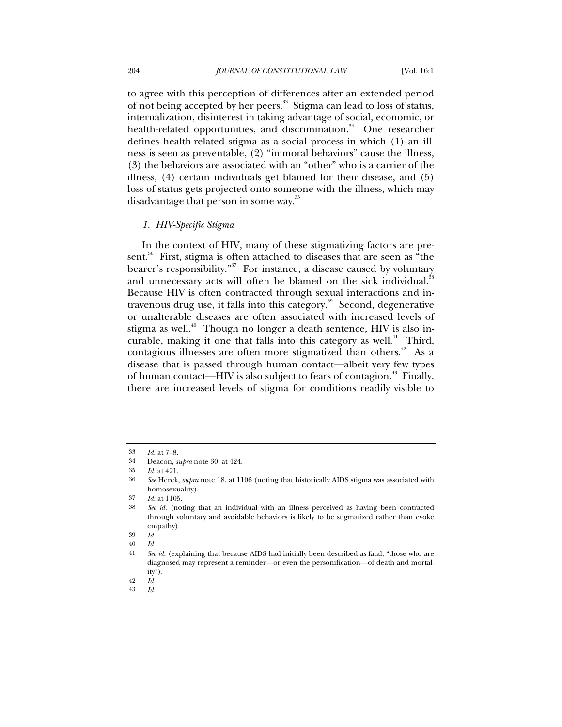to agree with this perception of differences after an extended period of not being accepted by her peers.<sup>33</sup> Stigma can lead to loss of status, internalization, disinterest in taking advantage of social, economic, or health-related opportunities, and discrimination.<sup>34</sup> One researcher defines health-related stigma as a social process in which (1) an illness is seen as preventable, (2) "immoral behaviors" cause the illness, (3) the behaviors are associated with an "other" who is a carrier of the illness, (4) certain individuals get blamed for their disease, and (5) loss of status gets projected onto someone with the illness, which may disadvantage that person in some way.<sup>35</sup>

### *1. HIV-Specific Stigma*

In the context of HIV, many of these stigmatizing factors are present.<sup>36</sup> First, stigma is often attached to diseases that are seen as "the bearer's responsibility."<sup>37</sup> For instance, a disease caused by voluntary and unnecessary acts will often be blamed on the sick individual.<sup>3</sup> Because HIV is often contracted through sexual interactions and intravenous drug use, it falls into this category.<sup>39</sup> Second, degenerative or unalterable diseases are often associated with increased levels of stigma as well.<sup>40</sup> Though no longer a death sentence, HIV is also incurable, making it one that falls into this category as well.<sup>41</sup> Third, contagious illnesses are often more stigmatized than others.<sup> $42$ </sup> As a disease that is passed through human contact—albeit very few types of human contact—HIV is also subject to fears of contagion.<sup>43</sup> Finally, there are increased levels of stigma for conditions readily visible to

43 *Id.*

<sup>33</sup> *Id.* at 7–8.

<sup>34</sup> Deacon, *supra* note 30, at 424.

<sup>35</sup> *Id.* at 421.

<sup>36</sup> *See* Herek, *supra* note 18, at 1106 (noting that historically AIDS stigma was associated with homosexuality).

<sup>37</sup> *Id.* at 1105.

<sup>38</sup> *See id.* (noting that an individual with an illness perceived as having been contracted through voluntary and avoidable behaviors is likely to be stigmatized rather than evoke empathy).

<sup>39</sup> *Id.*

<sup>40</sup> *Id.*

<sup>41</sup> *See id.* (explaining that because AIDS had initially been described as fatal, "those who are diagnosed may represent a reminder—or even the personification—of death and mortality").

<sup>42</sup> *Id.*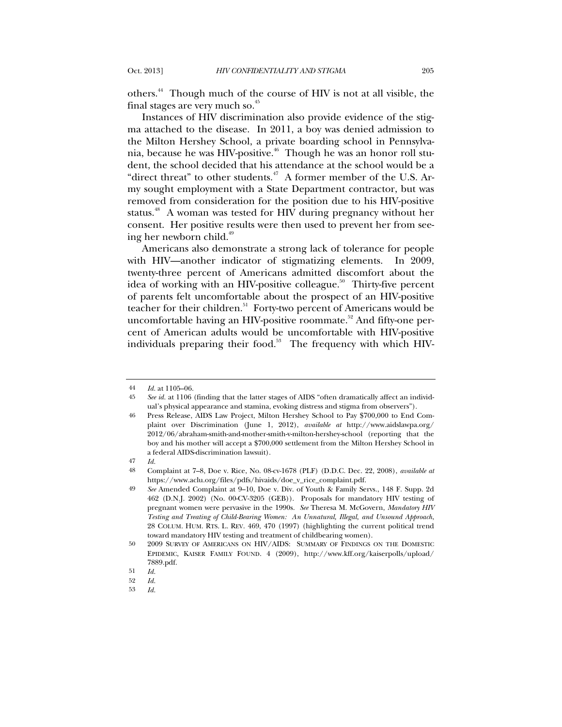others.44 Though much of the course of HIV is not at all visible, the final stages are very much so.<sup>45</sup>

Instances of HIV discrimination also provide evidence of the stigma attached to the disease. In 2011, a boy was denied admission to the Milton Hershey School, a private boarding school in Pennsylvania, because he was HIV-positive.<sup>46</sup> Though he was an honor roll student, the school decided that his attendance at the school would be a "direct threat" to other students. $47$  A former member of the U.S. Army sought employment with a State Department contractor, but was removed from consideration for the position due to his HIV-positive status.<sup>48</sup> A woman was tested for HIV during pregnancy without her consent. Her positive results were then used to prevent her from seeing her newborn child. $49$ 

Americans also demonstrate a strong lack of tolerance for people with HIV—another indicator of stigmatizing elements. In 2009, twenty-three percent of Americans admitted discomfort about the idea of working with an HIV-positive colleague.<sup>50</sup> Thirty-five percent of parents felt uncomfortable about the prospect of an HIV-positive teacher for their children.<sup>51</sup> Forty-two percent of Americans would be uncomfortable having an HIV-positive roommate.<sup>52</sup> And fifty-one percent of American adults would be uncomfortable with HIV-positive individuals preparing their food.<sup>53</sup> The frequency with which HIV-

<sup>44</sup> *Id.* at 1105–06.

<sup>45</sup> *See id.* at 1106 (finding that the latter stages of AIDS "often dramatically affect an individual's physical appearance and stamina, evoking distress and stigma from observers").

<sup>46</sup> Press Release, AIDS Law Project, Milton Hershey School to Pay \$700,000 to End Complaint over Discrimination (June 1, 2012), *available at* http://www.aidslawpa.org/ 2012/06/abraham-smith-and-mother-smith-v-milton-hershey-school (reporting that the boy and his mother will accept a \$700,000 settlement from the Milton Hershey School in a federal AIDS-discrimination lawsuit).

<sup>47</sup> *Id.*

<sup>48</sup> Complaint at 7–8, Doe v. Rice, No. 08-cv-1678 (PLF) (D.D.C. Dec. 22, 2008), *available at* https://www.aclu.org/files/pdfs/hivaids/doe\_v\_rice\_complaint.pdf.

<sup>49</sup> *See* Amended Complaint at 9–10, Doe v. Div. of Youth & Family Servs., 148 F. Supp. 2d 462 (D.N.J. 2002) (No. 00-CV-3205 (GEB)). Proposals for mandatory HIV testing of pregnant women were pervasive in the 1990s. *See* Theresa M. McGovern, *Mandatory HIV Testing and Treating of Child-Bearing Women: An Unnatural, Illegal, and Unsound Approach*, 28 COLUM. HUM. RTS. L. REV. 469, 470 (1997) (highlighting the current political trend toward mandatory HIV testing and treatment of childbearing women).

<sup>50</sup> 2009 SURVEY OF AMERICANS ON HIV/AIDS: SUMMARY OF FINDINGS ON THE DOMESTIC EPIDEMIC, KAISER FAMILY FOUND. 4 (2009), http://www.kff.org/kaiserpolls/upload/ 7889.pdf.

<sup>51</sup> *Id.*

<sup>52</sup> *Id.*

<sup>53</sup> *Id.*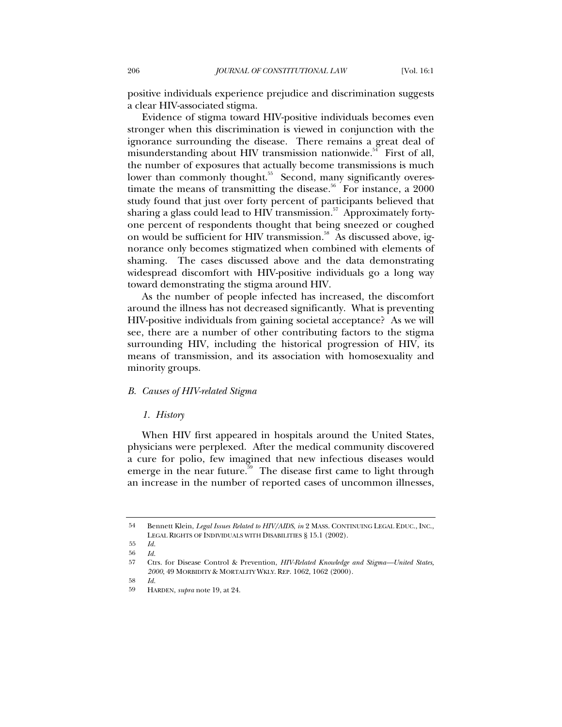positive individuals experience prejudice and discrimination suggests a clear HIV-associated stigma.

Evidence of stigma toward HIV-positive individuals becomes even stronger when this discrimination is viewed in conjunction with the ignorance surrounding the disease. There remains a great deal of misunderstanding about HIV transmission nationwide.<sup>54</sup> First of all, the number of exposures that actually become transmissions is much lower than commonly thought.<sup>55</sup> Second, many significantly overestimate the means of transmitting the disease.<sup>56</sup> For instance, a  $2000$ study found that just over forty percent of participants believed that sharing a glass could lead to HIV transmission. $^{57}$  Approximately fortyone percent of respondents thought that being sneezed or coughed on would be sufficient for HIV transmission.<sup>58</sup> As discussed above, ignorance only becomes stigmatized when combined with elements of shaming. The cases discussed above and the data demonstrating widespread discomfort with HIV-positive individuals go a long way toward demonstrating the stigma around HIV.

As the number of people infected has increased, the discomfort around the illness has not decreased significantly. What is preventing HIV-positive individuals from gaining societal acceptance? As we will see, there are a number of other contributing factors to the stigma surrounding HIV, including the historical progression of HIV, its means of transmission, and its association with homosexuality and minority groups.

### *B. Causes of HIV-related Stigma*

### *1. History*

When HIV first appeared in hospitals around the United States, physicians were perplexed. After the medical community discovered a cure for polio, few imagined that new infectious diseases would emerge in the near future.<sup>59</sup> The disease first came to light through an increase in the number of reported cases of uncommon illnesses,

<sup>54</sup> Bennett Klein, *Legal Issues Related to HIV/AIDS*, *in* 2 MASS. CONTINUING LEGAL EDUC., INC., LEGAL RIGHTS OF INDIVIDUALS WITH DISABILITIES § 15.1 (2002).

<sup>55</sup> *Id.*

<sup>56</sup> *Id.*

<sup>57</sup> Ctrs. for Disease Control & Prevention, *HIV-Related Knowledge and Stigma—United States, 2000*, 49 MORBIDITY & MORTALITY WKLY. REP. 1062, 1062 (2000).

<sup>58</sup> *Id.*

<sup>59</sup> HARDEN, *supra* note 19, at 24.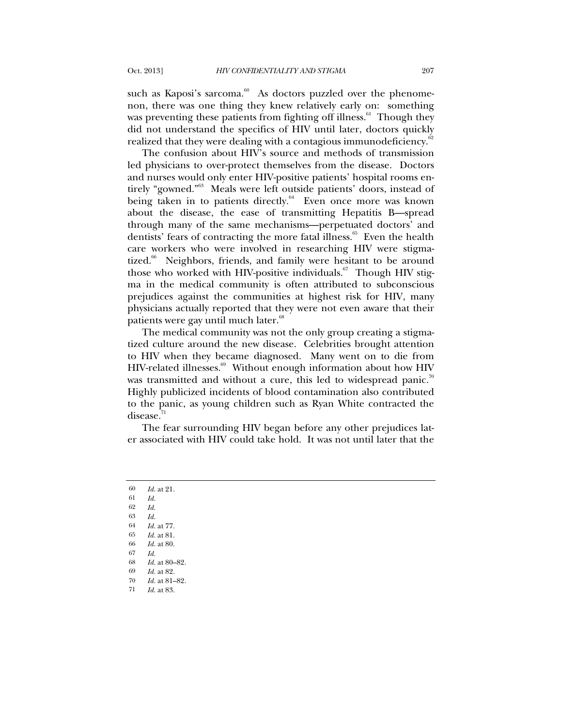such as Kaposi's sarcoma.<sup>60</sup> As doctors puzzled over the phenomenon, there was one thing they knew relatively early on: something was preventing these patients from fighting off illness. $^{61}$  Though they did not understand the specifics of HIV until later, doctors quickly realized that they were dealing with a contagious immunodeficiency.<sup>62</sup>

The confusion about HIV's source and methods of transmission led physicians to over-protect themselves from the disease. Doctors and nurses would only enter HIV-positive patients' hospital rooms entirely "gowned."63 Meals were left outside patients' doors, instead of being taken in to patients directly.<sup>64</sup> Even once more was known about the disease, the ease of transmitting Hepatitis B—spread through many of the same mechanisms—perpetuated doctors' and dentists' fears of contracting the more fatal illness.<sup>65</sup> Even the health care workers who were involved in researching HIV were stigmatized.<sup>66</sup> Neighbors, friends, and family were hesitant to be around those who worked with HIV-positive individuals. $67$  Though HIV stigma in the medical community is often attributed to subconscious prejudices against the communities at highest risk for HIV, many physicians actually reported that they were not even aware that their patients were gay until much later.<sup>68</sup>

The medical community was not the only group creating a stigmatized culture around the new disease. Celebrities brought attention to HIV when they became diagnosed. Many went on to die from HIV-related illnesses.<sup>69</sup> Without enough information about how HIV was transmitted and without a cure, this led to widespread panic.<sup>70</sup> Highly publicized incidents of blood contamination also contributed to the panic, as young children such as Ryan White contracted the disease. $71$ 

The fear surrounding HIV began before any other prejudices later associated with HIV could take hold. It was not until later that the

 *Id.* at 21. 61 *Id.* 62 *Id.* 63 *Id. Id.* at 77. *Id.* at 81. *Id.* at 80. 67 *Id. Id.* at 80–82. *Id.* at 82. *Id.* at 81–82. *Id.* at 83.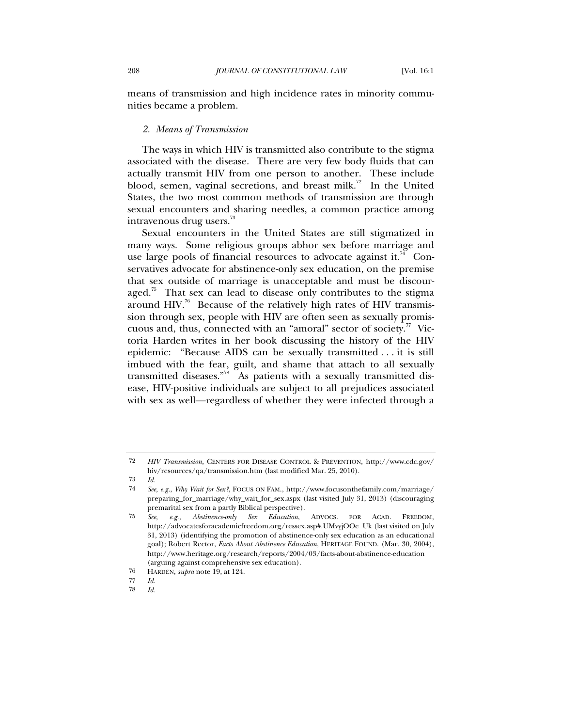means of transmission and high incidence rates in minority communities became a problem.

### *2. Means of Transmission*

The ways in which HIV is transmitted also contribute to the stigma associated with the disease. There are very few body fluids that can actually transmit HIV from one person to another. These include blood, semen, vaginal secretions, and breast milk.<sup>72</sup> In the United States, the two most common methods of transmission are through sexual encounters and sharing needles, a common practice among intravenous drug users.<sup>73</sup>

Sexual encounters in the United States are still stigmatized in many ways. Some religious groups abhor sex before marriage and use large pools of financial resources to advocate against it.<sup>74</sup> Conservatives advocate for abstinence-only sex education, on the premise that sex outside of marriage is unacceptable and must be discouraged.<sup>75</sup> That sex can lead to disease only contributes to the stigma around HIV.<sup>76</sup> Because of the relatively high rates of HIV transmission through sex, people with HIV are often seen as sexually promiscuous and, thus, connected with an "amoral" sector of society. $^7$  Victoria Harden writes in her book discussing the history of the HIV epidemic: "Because AIDS can be sexually transmitted . . . it is still imbued with the fear, guilt, and shame that attach to all sexually transmitted diseases."78 As patients with a sexually transmitted disease, HIV-positive individuals are subject to all prejudices associated with sex as well—regardless of whether they were infected through a

<sup>72</sup> *HIV Transmission*, CENTERS FOR DISEASE CONTROL & PREVENTION, http://www.cdc.gov/ hiv/resources/qa/transmission.htm (last modified Mar. 25, 2010).

<sup>73</sup> *Id.*

<sup>74</sup> *See, e.g.*, *Why Wait for Sex?*, FOCUS ON FAM., http://www.focusonthefamily.com/marriage/ preparing\_for\_marriage/why\_wait\_for\_sex.aspx (last visited July 31, 2013) (discouraging premarital sex from a partly Biblical perspective).

<sup>75</sup> *See, e.g.*, *Abstinence-only Sex Education*, ADVOCS. FOR ACAD. FREEDOM, http://advocatesforacademicfreedom.org/ressex.asp#.UMvyjOOe\_Uk (last visited on July 31, 2013) (identifying the promotion of abstinence-only sex education as an educational goal); Robert Rector, *Facts About Abstinence Education*, HERITAGE FOUND. (Mar. 30, 2004), http://www.heritage.org/research/reports/2004/03/facts-about-abstinence-education (arguing against comprehensive sex education).

<sup>76</sup> HARDEN, *supra* note 19, at 124.

<sup>77</sup> *Id.*

<sup>78</sup> *Id.*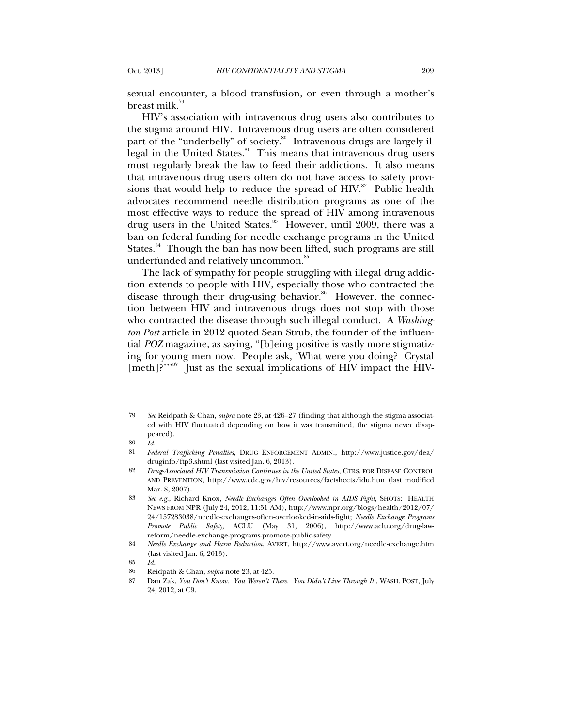sexual encounter, a blood transfusion, or even through a mother's breast milk.<sup>79</sup>

HIV's association with intravenous drug users also contributes to the stigma around HIV. Intravenous drug users are often considered part of the "underbelly" of society.<sup>80</sup> Intravenous drugs are largely illegal in the United States.<sup>81</sup> This means that intravenous drug users must regularly break the law to feed their addictions. It also means that intravenous drug users often do not have access to safety provisions that would help to reduce the spread of  $HIN.^{82}$  Public health advocates recommend needle distribution programs as one of the most effective ways to reduce the spread of HIV among intravenous drug users in the United States.<sup>83</sup> However, until 2009, there was a ban on federal funding for needle exchange programs in the United States.<sup>84</sup> Though the ban has now been lifted, such programs are still underfunded and relatively uncommon.<sup>85</sup>

The lack of sympathy for people struggling with illegal drug addiction extends to people with HIV, especially those who contracted the disease through their drug-using behavior.<sup>86</sup> However, the connection between HIV and intravenous drugs does not stop with those who contracted the disease through such illegal conduct. A *Washington Post* article in 2012 quoted Sean Strub, the founder of the influential *POZ* magazine, as saying, "[b]eing positive is vastly more stigmatizing for young men now. People ask, 'What were you doing? Crystal [meth]?"<sup>,87</sup> Just as the sexual implications of HIV impact the HIV-

<sup>79</sup> *See* Reidpath & Chan, *supra* note 23, at 426–27 (finding that although the stigma associated with HIV fluctuated depending on how it was transmitted, the stigma never disappeared).

<sup>80</sup> *Id.*

<sup>81</sup> *Federal Trafficking Penalties*, DRUG ENFORCEMENT ADMIN., http://www.justice.gov/dea/ druginfo/ftp3.shtml (last visited Jan. 6, 2013).

<sup>82</sup> *Drug-Associated HIV Transmission Continues in the United States*, CTRS. FOR DISEASE CONTROL AND PREVENTION, http://www.cdc.gov/hiv/resources/factsheets/idu.htm (last modified Mar. 8, 2007).

<sup>83</sup> *See e.g.*, Richard Knox, *Needle Exchanges Often Overlooked in AIDS Fight*, SHOTS: HEALTH NEWS FROM NPR (July 24, 2012, 11:51 AM), http://www.npr.org/blogs/health/2012/07/ 24/157283038/needle-exchanges-often-overlooked-in-aids-fight; *Needle Exchange Programs Promote Public Safety*, ACLU (May 31, 2006), http://www.aclu.org/drug-lawreform/needle-exchange-programs-promote-public-safety.

<sup>84</sup> *Needle Exchange and Harm Reduction*, AVERT, http://www.avert.org/needle-exchange.htm (last visited Jan. 6, 2013).

<sup>85</sup> *Id.*

<sup>86</sup> Reidpath & Chan, *supra* note 23, at 425.

<sup>87</sup> Dan Zak, *You Don't Know. You Weren't There. You Didn't Live Through It.*, WASH. POST, July 24, 2012, at C9.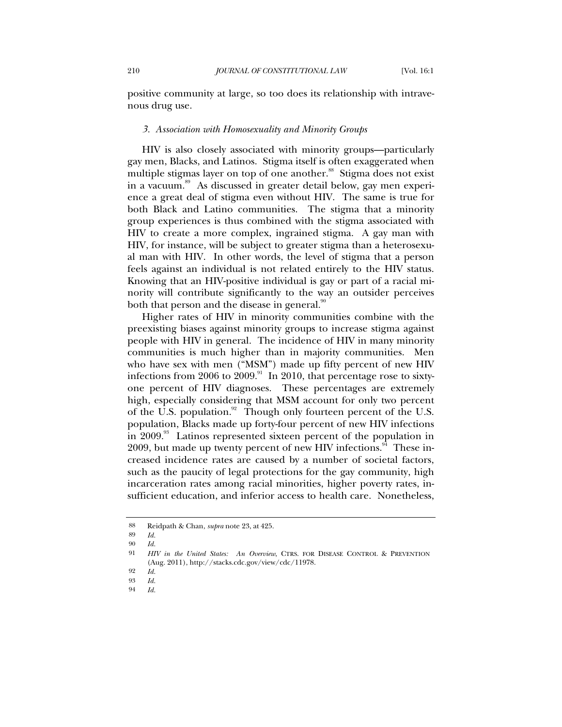positive community at large, so too does its relationship with intravenous drug use.

### *3. Association with Homosexuality and Minority Groups*

HIV is also closely associated with minority groups—particularly gay men, Blacks, and Latinos. Stigma itself is often exaggerated when multiple stigmas layer on top of one another.<sup>88</sup> Stigma does not exist in a vacuum.<sup>89</sup> As discussed in greater detail below, gay men experience a great deal of stigma even without HIV. The same is true for both Black and Latino communities. The stigma that a minority group experiences is thus combined with the stigma associated with HIV to create a more complex, ingrained stigma. A gay man with HIV, for instance, will be subject to greater stigma than a heterosexual man with HIV. In other words, the level of stigma that a person feels against an individual is not related entirely to the HIV status. Knowing that an HIV-positive individual is gay or part of a racial minority will contribute significantly to the way an outsider perceives both that person and the disease in general.<sup>90</sup>

Higher rates of HIV in minority communities combine with the preexisting biases against minority groups to increase stigma against people with HIV in general. The incidence of HIV in many minority communities is much higher than in majority communities. Men who have sex with men ("MSM") made up fifty percent of new HIV infections from 2006 to 2009.<sup>91</sup> In 2010, that percentage rose to sixtyone percent of HIV diagnoses. These percentages are extremely high, especially considering that MSM account for only two percent of the U.S. population. $92$  Though only fourteen percent of the U.S. population, Blacks made up forty-four percent of new HIV infections in 2009.<sup>93</sup> Latinos represented sixteen percent of the population in 2009, but made up twenty percent of new HIV infections.<sup>94</sup> These increased incidence rates are caused by a number of societal factors, such as the paucity of legal protections for the gay community, high incarceration rates among racial minorities, higher poverty rates, insufficient education, and inferior access to health care. Nonetheless,

<sup>88</sup> Reidpath & Chan, *supra* note 23, at 425.

<sup>89</sup> *Id.*

<sup>90</sup> *Id.*

<sup>91</sup> *HIV in the United States: An Overview*, CTRS. FOR DISEASE CONTROL & PREVENTION (Aug. 2011), http://stacks.cdc.gov/view/cdc/11978.

<sup>92</sup> *Id.*

<sup>93</sup> *Id.*

<sup>94</sup> *Id.*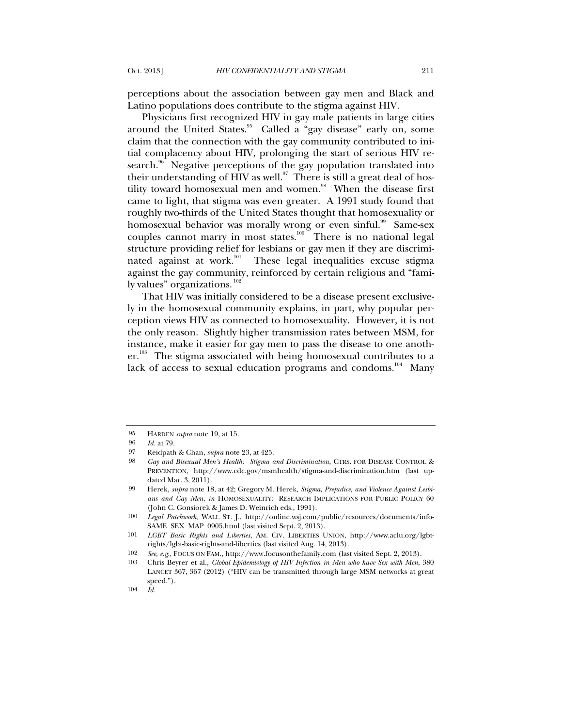perceptions about the association between gay men and Black and Latino populations does contribute to the stigma against HIV.

Physicians first recognized HIV in gay male patients in large cities around the United States.<sup>95</sup> Called a "gay disease" early on, some claim that the connection with the gay community contributed to initial complacency about HIV, prolonging the start of serious HIV research.<sup>96</sup> Negative perceptions of the gay population translated into their understanding of HIV as well. $\degree$  There is still a great deal of hostility toward homosexual men and women.<sup>98</sup> When the disease first came to light, that stigma was even greater. A 1991 study found that roughly two-thirds of the United States thought that homosexuality or homosexual behavior was morally wrong or even sinful.<sup>99</sup> Same-sex couples cannot marry in most states.<sup>100</sup> There is no national legal structure providing relief for lesbians or gay men if they are discriminated against at work.<sup>101</sup> These legal inequalities excuse stigma against the gay community, reinforced by certain religious and "family values" organizations.  $102$ 

That HIV was initially considered to be a disease present exclusively in the homosexual community explains, in part, why popular perception views HIV as connected to homosexuality. However, it is not the only reason. Slightly higher transmission rates between MSM, for instance, make it easier for gay men to pass the disease to one anoth $er.^{103}$  The stigma associated with being homosexual contributes to a lack of access to sexual education programs and condoms.<sup>104</sup> Many

<sup>95</sup> HARDEN *supra* note 19, at 15.

<sup>96</sup> *Id.* at 79.

<sup>97</sup> Reidpath & Chan, *supra* note 23, at 425.

<sup>98</sup> *Gay and Bisexual Men's Health: Stigma and Discrimination*, CTRS. FOR DISEASE CONTROL & PREVENTION, http://www.cdc.gov/msmhealth/stigma-and-discrimination.htm (last updated Mar. 3, 2011).

<sup>99</sup> Herek, *supra* note 18, at 42; Gregory M. Herek, *Stigma, Prejudice, and Violence Against Lesbians and Gay Men*, *in* HOMOSEXUALITY: RESEARCH IMPLICATIONS FOR PUBLIC POLICY 60 (John C. Gonsiorek & James D. Weinrich eds., 1991).

<sup>100</sup> *Legal Patchwork*, WALL ST. J., http://online.wsj.com/public/resources/documents/info-SAME\_SEX\_MAP\_0905.html (last visited Sept. 2, 2013).

<sup>101</sup> *LGBT Basic Rights and Liberties*, AM. CIV. LIBERTIES UNION, http://www.aclu.org/lgbtrights/lgbt-basic-rights-and-liberties (last visited Aug. 14, 2013).

<sup>102</sup> *See, e.g.*, FOCUS ON FAM., http://www.focusonthefamily.com (last visited Sept. 2, 2013).

<sup>103</sup> Chris Beyrer et al., *Global Epidemiology of HIV Infection in Men who have Sex with Men*, 380 LANCET 367, 367 (2012) ("HIV can be transmitted through large MSM networks at great speed.").

<sup>104</sup> *Id.*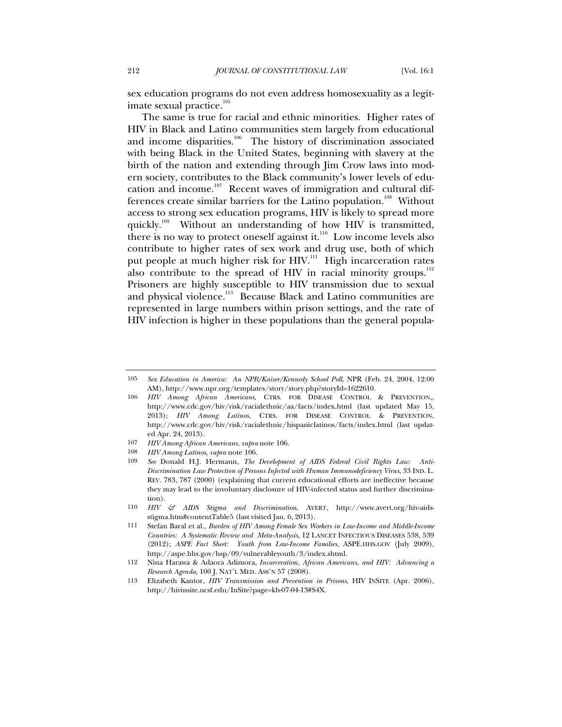sex education programs do not even address homosexuality as a legitimate sexual practice. $105$ 

<span id="page-13-0"></span>The same is true for racial and ethnic minorities. Higher rates of HIV in Black and Latino communities stem largely from educational and income disparities. $106$  The history of discrimination associated with being Black in the United States, beginning with slavery at the birth of the nation and extending through Jim Crow laws into modern society, contributes to the Black community's lower levels of education and income.<sup>107</sup> Recent waves of immigration and cultural differences create similar barriers for the Latino population.<sup>108</sup> Without access to strong sex education programs, HIV is likely to spread more quickly.<sup>109</sup> Without an understanding of how HIV is transmitted, there is no way to protect oneself against it.<sup>110</sup> Low income levels also contribute to higher rates of sex work and drug use, both of which put people at much higher risk for HIV.<sup>111</sup> High incarceration rates also contribute to the spread of HIV in racial minority groups.<sup>112</sup> Prisoners are highly susceptible to HIV transmission due to sexual and physical violence.<sup>113</sup> Because Black and Latino communities are represented in large numbers within prison settings, and the rate of HIV infection is higher in these populations than the general popula-

<sup>105</sup> *Sex Education in America: An NPR/Kaiser/Kennedy School Poll*, NPR (Feb. 24, 2004, 12:00 AM), http://www.npr.org/templates/story/story.php?storyId=1622610.

<sup>106</sup> *HIV Among African Americans*, CTRS. FOR DISEASE CONTROL & PREVENTION,, http://www.cdc.gov/hiv/risk/racialethnic/aa/facts/index.html (last updated May 15, 2013); *HIV Among Latinos*, CTRS. FOR DISEASE CONTROL & PREVENTION, http://www.cdc.gov/hiv/risk/racialethnic/hispaniclatinos/facts/index.html (last updated Apr. 24, 2013).

<sup>107</sup> *HIV Among African Americans*, *supra* note [106.](#page-13-0)

<sup>108</sup> *HIV Among Latinos*, *supra* not[e 106.](#page-13-0)

<sup>109</sup> *See* Donald H.J. Hermann, *The Development of AIDS Federal Civil Rights Law: Anti-Discrimination Law Protection of Persons Infected with Human Immunodeficiency Virus*, 33 IND. L. REV. 783, 787 (2000) (explaining that current educational efforts are ineffective because they may lead to the involuntary disclosure of HIV-infected status and further discrimination).

<sup>110</sup> *HIV & AIDS Stigma and Discrimination*, AVERT, http://www.avert.org/hiv-aidsstigma.htm#contentTable5 (last visited Jan. 6, 2013).

<sup>111</sup> Stefan Baral et al., *Burden of HIV Among Female Sex Workers in Low-Income and Middle-Income Countries: A Systematic Review and Meta-Analysis*, 12 LANCET INFECTIOUS DISEASES 538, 539 (2012); *ASPE Fact Sheet: Youth from Low-Income Families*, ASPE.HHS.GOV (July 2009), http://aspe.hhs.gov/hsp/09/vulnerableyouth/3/index.shtml.

<sup>112</sup> Nina Harawa & Adaora Adimora, *Incarceration, African Americans, and HIV: Advancing a Research Agenda*, 100 J. NAT'L MED. ASS'N 57 (2008).

<sup>113</sup> Elizabeth Kantor, *HIV Transmission and Prevention in Prisons*, HIV INSITE (Apr. 2006), http://hivinsite.ucsf.edu/InSite?page=kb-07-04-13#S4X.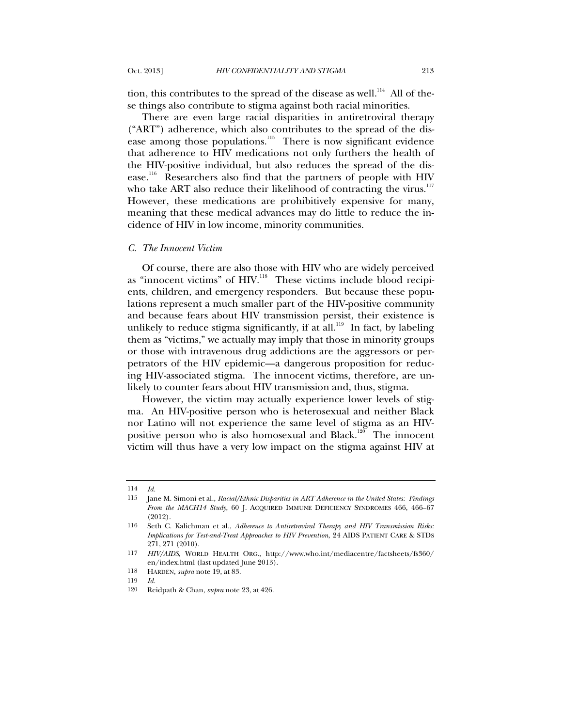tion, this contributes to the spread of the disease as well.<sup>114</sup> All of these things also contribute to stigma against both racial minorities.

There are even large racial disparities in antiretroviral therapy ("ART") adherence, which also contributes to the spread of the disease among those populations. $115$  There is now significant evidence that adherence to HIV medications not only furthers the health of the HIV-positive individual, but also reduces the spread of the disease.<sup>116</sup> Researchers also find that the partners of people with HIV who take ART also reduce their likelihood of contracting the virus. $^{117}$ However, these medications are prohibitively expensive for many, meaning that these medical advances may do little to reduce the incidence of HIV in low income, minority communities.

#### *C. The Innocent Victim*

Of course, there are also those with HIV who are widely perceived as "innocent victims" of HIV.<sup>118</sup> These victims include blood recipients, children, and emergency responders. But because these populations represent a much smaller part of the HIV-positive community and because fears about HIV transmission persist, their existence is unlikely to reduce stigma significantly, if at all.<sup>119</sup> In fact, by labeling them as "victims," we actually may imply that those in minority groups or those with intravenous drug addictions are the aggressors or perpetrators of the HIV epidemic—a dangerous proposition for reducing HIV-associated stigma. The innocent victims, therefore, are unlikely to counter fears about HIV transmission and, thus, stigma.

However, the victim may actually experience lower levels of stigma. An HIV-positive person who is heterosexual and neither Black nor Latino will not experience the same level of stigma as an HIVpositive person who is also homosexual and Black.<sup>120</sup> The innocent victim will thus have a very low impact on the stigma against HIV at

<sup>114</sup> *Id.*

<sup>115</sup> Jane M. Simoni et al., *Racial/Ethnic Disparities in ART Adherence in the United States: Findings From the MACH14 Study*, 60 J. ACQUIRED IMMUNE DEFICIENCY SYNDROMES 466, 466–67 (2012).

<sup>116</sup> Seth C. Kalichman et al., *Adherence to Antiretroviral Therapy and HIV Transmission Risks: Implications for Test-and-Treat Approaches to HIV Prevention*, 24 AIDS PATIENT CARE & STDS 271, 271 (2010).

<sup>117</sup> *HIV/AIDS*, WORLD HEALTH ORG., http://www.who.int/mediacentre/factsheets/fs360/ en/index.html (last updated June 2013).

<sup>118</sup> HARDEN, *supra* note 19, at 83.

<sup>119</sup> *Id.*

<sup>120</sup> Reidpath & Chan, *supra* note 23, at 426.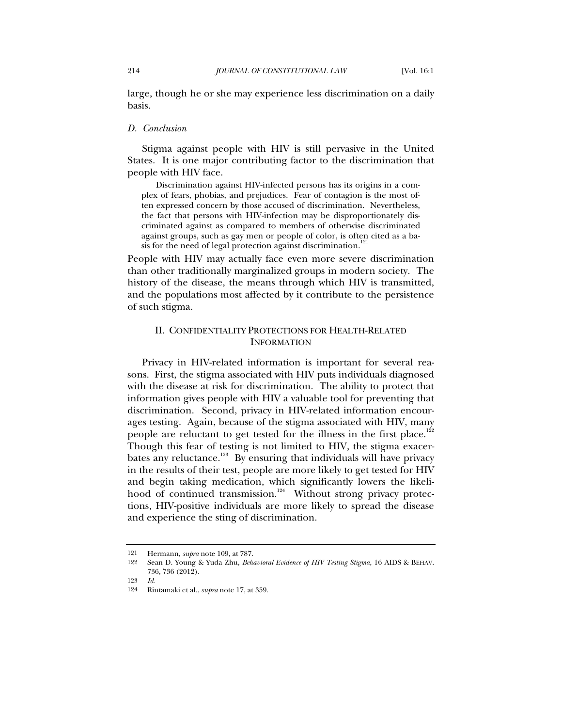large, though he or she may experience less discrimination on a daily basis.

### *D. Conclusion*

Stigma against people with HIV is still pervasive in the United States. It is one major contributing factor to the discrimination that people with HIV face.

Discrimination against HIV-infected persons has its origins in a complex of fears, phobias, and prejudices. Fear of contagion is the most often expressed concern by those accused of discrimination. Nevertheless, the fact that persons with HIV-infection may be disproportionately discriminated against as compared to members of otherwise discriminated against groups, such as gay men or people of color, is often cited as a basis for the need of legal protection against discrimination.<sup>121</sup>

People with HIV may actually face even more severe discrimination than other traditionally marginalized groups in modern society. The history of the disease, the means through which HIV is transmitted, and the populations most affected by it contribute to the persistence of such stigma.

## II. CONFIDENTIALITY PROTECTIONS FOR HEALTH-RELATED INFORMATION

Privacy in HIV-related information is important for several reasons. First, the stigma associated with HIV puts individuals diagnosed with the disease at risk for discrimination. The ability to protect that information gives people with HIV a valuable tool for preventing that discrimination. Second, privacy in HIV-related information encourages testing. Again, because of the stigma associated with HIV, many people are reluctant to get tested for the illness in the first place.<sup>122</sup> Though this fear of testing is not limited to HIV, the stigma exacerbates any reluctance.<sup>123</sup> By ensuring that individuals will have privacy in the results of their test, people are more likely to get tested for HIV and begin taking medication, which significantly lowers the likelihood of continued transmission.<sup>124</sup> Without strong privacy protections, HIV-positive individuals are more likely to spread the disease and experience the sting of discrimination.

<sup>121</sup> Hermann, *supra* note 109, at 787.

<sup>122</sup> Sean D. Young & Yuda Zhu, *Behavioral Evidence of HIV Testing Stigma*, 16 AIDS & BEHAV. 736, 736 (2012).

<sup>123</sup> *Id.*

<sup>124</sup> Rintamaki et al., *supra* note 17, at 359.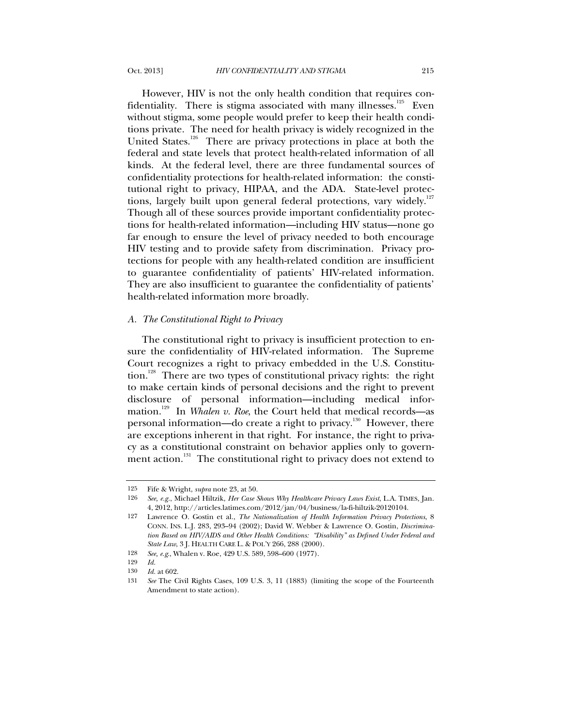However, HIV is not the only health condition that requires confidentiality. There is stigma associated with many illnesses. $125$  Even without stigma, some people would prefer to keep their health conditions private. The need for health privacy is widely recognized in the United States.<sup>126</sup> There are privacy protections in place at both the federal and state levels that protect health-related information of all kinds. At the federal level, there are three fundamental sources of confidentiality protections for health-related information: the constitutional right to privacy, HIPAA, and the ADA. State-level protections, largely built upon general federal protections, vary widely.<sup>127</sup> Though all of these sources provide important confidentiality protections for health-related information—including HIV status—none go far enough to ensure the level of privacy needed to both encourage HIV testing and to provide safety from discrimination. Privacy protections for people with any health-related condition are insufficient to guarantee confidentiality of patients' HIV-related information. They are also insufficient to guarantee the confidentiality of patients' health-related information more broadly.

### *A. The Constitutional Right to Privacy*

The constitutional right to privacy is insufficient protection to ensure the confidentiality of HIV-related information. The Supreme Court recognizes a right to privacy embedded in the U.S. Constitution.<sup>128</sup> There are two types of constitutional privacy rights: the right to make certain kinds of personal decisions and the right to prevent disclosure of personal information—including medical information.<sup>129</sup> In *Whalen v. Roe*, the Court held that medical records—as personal information—do create a right to privacy.<sup>130</sup> However, there are exceptions inherent in that right. For instance, the right to privacy as a constitutional constraint on behavior applies only to government action.<sup>131</sup> The constitutional right to privacy does not extend to

<sup>125</sup> Fife & Wright, *supra* note 23, at 50.

<sup>126</sup> *See, e.g.*, Michael Hiltzik, *Her Case Shows Why Healthcare Privacy Laws Exist*, L.A. TIMES, Jan. 4, 2012, http://articles.latimes.com/2012/jan/04/business/la-fi-hiltzik-20120104.

<sup>127</sup> Lawrence O. Gostin et al., *The Nationalization of Health Information Privacy Protections*, 8 CONN. INS. L.J. 283, 293–94 (2002); David W. Webber & Lawrence O. Gostin, *Discrimination Based on HIV/AIDS and Other Health Conditions: "Disability" as Defined Under Federal and State Law*, 3 J. HEALTH CARE L. & POL'Y 266, 288 (2000).

<sup>128</sup> *See, e.g*., Whalen v. Roe, 429 U.S. 589, 598–600 (1977).

<sup>129</sup> *Id.*

<sup>130</sup> *Id.* at 602.

<sup>131</sup> *See* The Civil Rights Cases, 109 U.S. 3, 11 (1883) (limiting the scope of the Fourteenth Amendment to state action).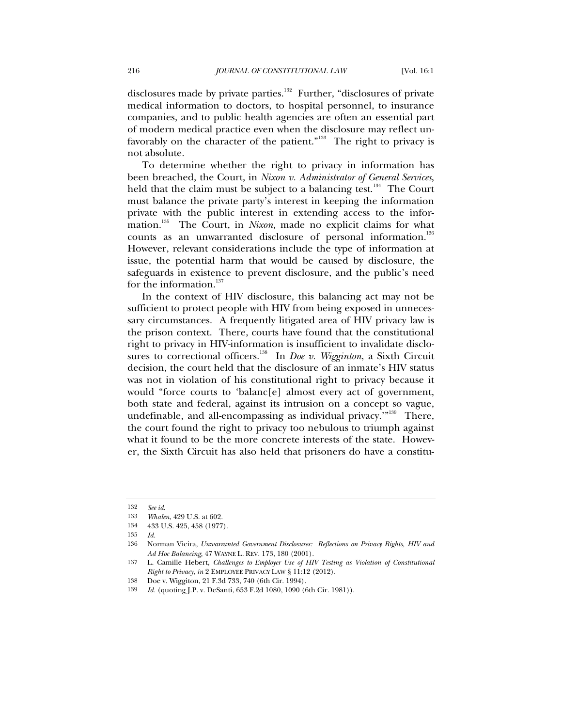disclosures made by private parties.<sup>132</sup> Further, "disclosures of private medical information to doctors, to hospital personnel, to insurance companies, and to public health agencies are often an essential part of modern medical practice even when the disclosure may reflect unfavorably on the character of the patient."<sup>133</sup> The right to privacy is not absolute.

To determine whether the right to privacy in information has been breached, the Court, in *Nixon v. Administrator of General Services*, held that the claim must be subject to a balancing test. $134$  The Court must balance the private party's interest in keeping the information private with the public interest in extending access to the information.135 The Court, in *Nixon*, made no explicit claims for what counts as an unwarranted disclosure of personal information.<sup>136</sup> However, relevant considerations include the type of information at issue, the potential harm that would be caused by disclosure, the safeguards in existence to prevent disclosure, and the public's need for the information. $137$ 

In the context of HIV disclosure, this balancing act may not be sufficient to protect people with HIV from being exposed in unnecessary circumstances. A frequently litigated area of HIV privacy law is the prison context. There, courts have found that the constitutional right to privacy in HIV-information is insufficient to invalidate disclosures to correctional officers.<sup>138</sup> In *Doe v. Wigginton*, a Sixth Circuit decision, the court held that the disclosure of an inmate's HIV status was not in violation of his constitutional right to privacy because it would "force courts to 'balanc[e] almost every act of government, both state and federal, against its intrusion on a concept so vague, undefinable, and all-encompassing as individual privacy.'"139 There, the court found the right to privacy too nebulous to triumph against what it found to be the more concrete interests of the state. However, the Sixth Circuit has also held that prisoners do have a constitu-

<sup>132</sup> *See id*.

<sup>133</sup> *Whalen*, 429 U.S. at 602.

<sup>134</sup> 433 U.S. 425, 458 (1977).

<sup>135</sup> *Id.*

<sup>136</sup> Norman Vieira, *Unwarranted Government Disclosures: Reflections on Privacy Rights, HIV and Ad Hoc Balancing*, 47 WAYNE L. REV. 173, 180 (2001).

<sup>137</sup> L. Camille Hebert, *Challenges to Employer Use of HIV Testing as Violation of Constitutional Right to Privacy*, *in* 2 EMPLOYEE PRIVACY LAW § 11:12 (2012).

<sup>138</sup> Doe v. Wiggiton, 21 F.3d 733, 740 (6th Cir. 1994).

<sup>139</sup> *Id.* (quoting J.P. v. DeSanti, 653 F.2d 1080, 1090 (6th Cir. 1981)).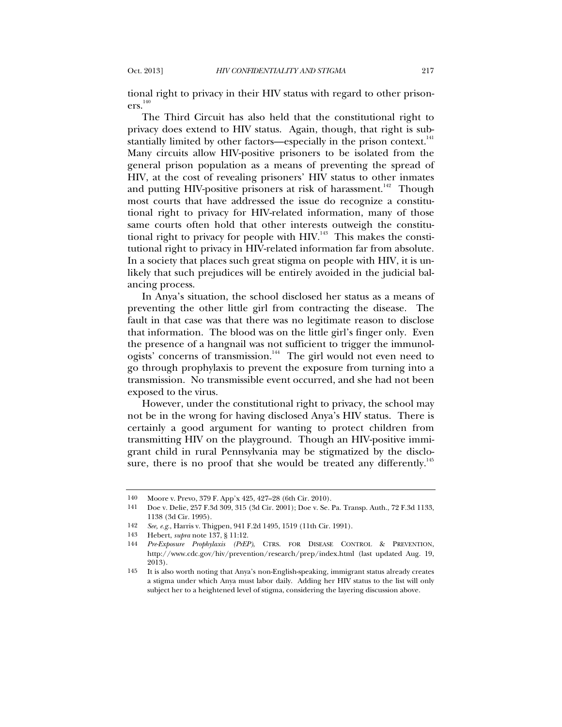tional right to privacy in their HIV status with regard to other prison $ers.<sup>140</sup>$ 

The Third Circuit has also held that the constitutional right to privacy does extend to HIV status. Again, though, that right is substantially limited by other factors—especially in the prison context.<sup>141</sup> Many circuits allow HIV-positive prisoners to be isolated from the general prison population as a means of preventing the spread of HIV, at the cost of revealing prisoners' HIV status to other inmates and putting HIV-positive prisoners at risk of harassment.<sup>142</sup> Though most courts that have addressed the issue do recognize a constitutional right to privacy for HIV-related information, many of those same courts often hold that other interests outweigh the constitutional right to privacy for people with HIV.<sup>143</sup> This makes the constitutional right to privacy in HIV-related information far from absolute. In a society that places such great stigma on people with HIV, it is unlikely that such prejudices will be entirely avoided in the judicial balancing process.

In Anya's situation, the school disclosed her status as a means of preventing the other little girl from contracting the disease. The fault in that case was that there was no legitimate reason to disclose that information. The blood was on the little girl's finger only. Even the presence of a hangnail was not sufficient to trigger the immunologists' concerns of transmission.<sup>144</sup> The girl would not even need to go through prophylaxis to prevent the exposure from turning into a transmission. No transmissible event occurred, and she had not been exposed to the virus.

However, under the constitutional right to privacy, the school may not be in the wrong for having disclosed Anya's HIV status. There is certainly a good argument for wanting to protect children from transmitting HIV on the playground. Though an HIV-positive immigrant child in rural Pennsylvania may be stigmatized by the disclosure, there is no proof that she would be treated any differently.<sup>145</sup>

<sup>140</sup> Moore v. Prevo, 379 F. App'x 425, 427–28 (6th Cir. 2010).

<sup>141</sup> Doe v. Delie, 257 F.3d 309, 315 (3d Cir. 2001); Doe v. Se. Pa. Transp. Auth., 72 F.3d 1133, 1138 (3d Cir. 1995).

<sup>142</sup> *See, e.g.*, Harris v. Thigpen, 941 F.2d 1495, 1519 (11th Cir. 1991).

<sup>143</sup> Hebert, *supra* note 137, § 11:12.

<sup>144</sup> *Pre-Exposure Prophylaxis (PrEP)*, CTRS. FOR DISEASE CONTROL & PREVENTION, http://www.cdc.gov/hiv/prevention/research/prep/index.html (last updated Aug. 19, 2013).

<sup>145</sup> It is also worth noting that Anya's non-English-speaking, immigrant status already creates a stigma under which Anya must labor daily. Adding her HIV status to the list will only subject her to a heightened level of stigma, considering the layering discussion above.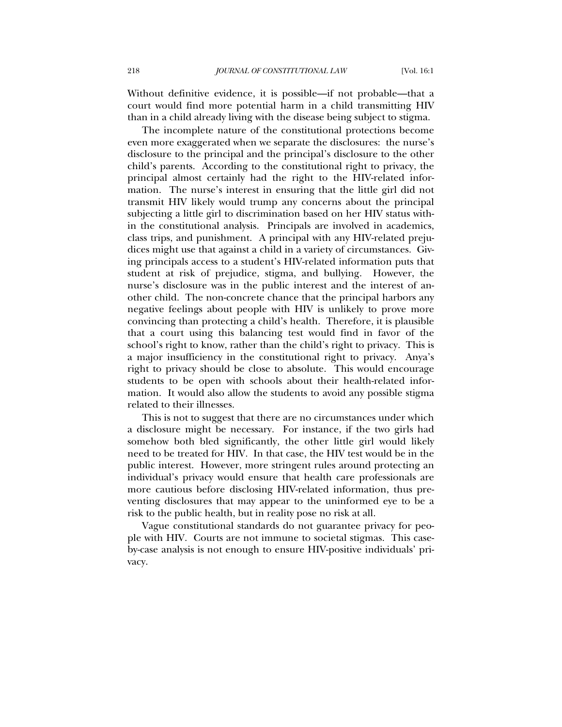Without definitive evidence, it is possible—if not probable—that a court would find more potential harm in a child transmitting HIV than in a child already living with the disease being subject to stigma.

The incomplete nature of the constitutional protections become even more exaggerated when we separate the disclosures: the nurse's disclosure to the principal and the principal's disclosure to the other child's parents. According to the constitutional right to privacy, the principal almost certainly had the right to the HIV-related information. The nurse's interest in ensuring that the little girl did not transmit HIV likely would trump any concerns about the principal subjecting a little girl to discrimination based on her HIV status within the constitutional analysis. Principals are involved in academics, class trips, and punishment. A principal with any HIV-related prejudices might use that against a child in a variety of circumstances. Giving principals access to a student's HIV-related information puts that student at risk of prejudice, stigma, and bullying. However, the nurse's disclosure was in the public interest and the interest of another child. The non-concrete chance that the principal harbors any negative feelings about people with HIV is unlikely to prove more convincing than protecting a child's health. Therefore, it is plausible that a court using this balancing test would find in favor of the school's right to know, rather than the child's right to privacy. This is a major insufficiency in the constitutional right to privacy. Anya's right to privacy should be close to absolute. This would encourage students to be open with schools about their health-related information. It would also allow the students to avoid any possible stigma related to their illnesses.

This is not to suggest that there are no circumstances under which a disclosure might be necessary. For instance, if the two girls had somehow both bled significantly, the other little girl would likely need to be treated for HIV. In that case, the HIV test would be in the public interest. However, more stringent rules around protecting an individual's privacy would ensure that health care professionals are more cautious before disclosing HIV-related information, thus preventing disclosures that may appear to the uninformed eye to be a risk to the public health, but in reality pose no risk at all.

Vague constitutional standards do not guarantee privacy for people with HIV. Courts are not immune to societal stigmas. This caseby-case analysis is not enough to ensure HIV-positive individuals' privacy.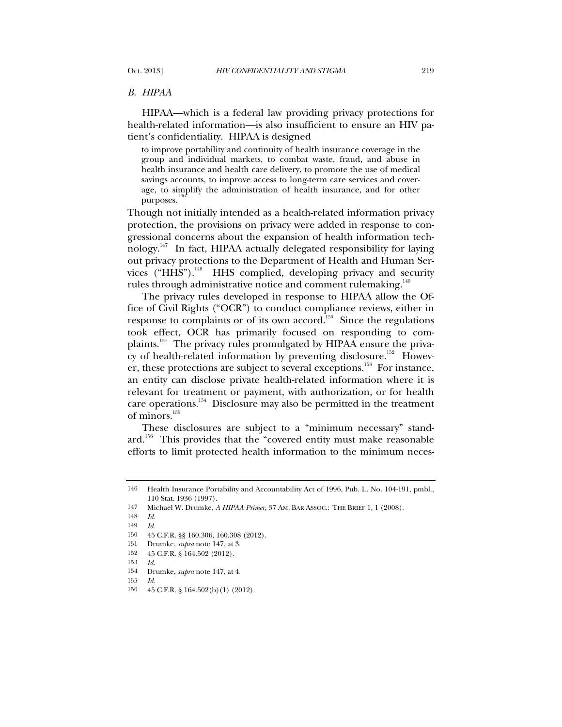## *B. HIPAA*

HIPAA—which is a federal law providing privacy protections for health-related information—is also insufficient to ensure an HIV patient's confidentiality. HIPAA is designed

to improve portability and continuity of health insurance coverage in the group and individual markets, to combat waste, fraud, and abuse in health insurance and health care delivery, to promote the use of medical savings accounts, to improve access to long-term care services and coverage, to simplify the administration of health insurance, and for other purposes.

Though not initially intended as a health-related information privacy protection, the provisions on privacy were added in response to congressional concerns about the expansion of health information technology.<sup>147</sup> In fact, HIPAA actually delegated responsibility for laying out privacy protections to the Department of Health and Human Services ("HHS").<sup>148</sup> HHS complied, developing privacy and security rules through administrative notice and comment rulemaking.<sup>149</sup>

The privacy rules developed in response to HIPAA allow the Office of Civil Rights ("OCR") to conduct compliance reviews, either in response to complaints or of its own accord.<sup>150</sup> Since the regulations took effect, OCR has primarily focused on responding to complaints.151 The privacy rules promulgated by HIPAA ensure the privacy of health-related information by preventing disclosure.<sup>152</sup> However, these protections are subject to several exceptions.<sup>153</sup> For instance, an entity can disclose private health-related information where it is relevant for treatment or payment, with authorization, or for health care operations.<sup>154</sup> Disclosure may also be permitted in the treatment of minors.<sup>155</sup>

These disclosures are subject to a "minimum necessary" standard.<sup>156</sup> This provides that the "covered entity must make reasonable efforts to limit protected health information to the minimum neces-

<sup>146</sup> Health Insurance Portability and Accountability Act of 1996, Pub. L. No. 104-191, pmbl., 110 Stat. 1936 (1997).

<sup>147</sup> Michael W. Drumke, *A HIPAA Primer*, 37 AM. BAR ASSOC.: THE BRIEF 1, 1 (2008).

<sup>148</sup> *Id.*

<sup>149</sup> *Id.*

<sup>150</sup> 45 C.F.R. §§ 160.306, 160.308 (2012).

<sup>151</sup> Drumke, *supra* note 147, at 3.

<sup>152</sup> 45 C.F.R. § 164.502 (2012).

<sup>153</sup> *Id.*

<sup>154</sup> Drumke, *supra* note 147, at 4.

<sup>155</sup> *Id.*

<sup>156</sup> 45 C.F.R. § 164.502(b)(1) (2012).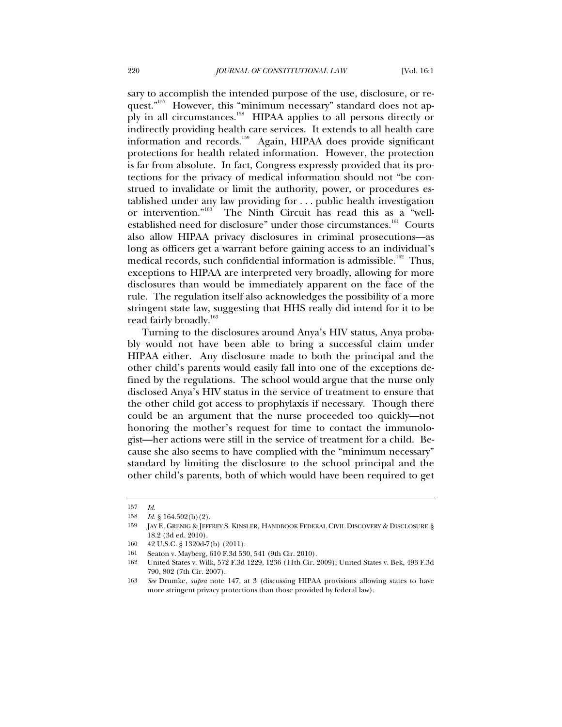sary to accomplish the intended purpose of the use, disclosure, or request."<sup>157</sup> However, this "minimum necessary" standard does not apply in all circumstances.<sup>158</sup> HIPAA applies to all persons directly or indirectly providing health care services. It extends to all health care information and records.<sup>159</sup> Again, HIPAA does provide significant protections for health related information. However, the protection is far from absolute. In fact, Congress expressly provided that its protections for the privacy of medical information should not "be construed to invalidate or limit the authority, power, or procedures established under any law providing for . . . public health investigation or intervention."160 The Ninth Circuit has read this as a "wellestablished need for disclosure" under those circumstances.<sup>161</sup> Courts also allow HIPAA privacy disclosures in criminal prosecutions—as long as officers get a warrant before gaining access to an individual's medical records, such confidential information is admissible.<sup>162</sup> Thus, exceptions to HIPAA are interpreted very broadly, allowing for more disclosures than would be immediately apparent on the face of the rule. The regulation itself also acknowledges the possibility of a more stringent state law, suggesting that HHS really did intend for it to be read fairly broadly.<sup>163</sup>

Turning to the disclosures around Anya's HIV status, Anya probably would not have been able to bring a successful claim under HIPAA either. Any disclosure made to both the principal and the other child's parents would easily fall into one of the exceptions defined by the regulations. The school would argue that the nurse only disclosed Anya's HIV status in the service of treatment to ensure that the other child got access to prophylaxis if necessary. Though there could be an argument that the nurse proceeded too quickly—not honoring the mother's request for time to contact the immunologist—her actions were still in the service of treatment for a child. Because she also seems to have complied with the "minimum necessary" standard by limiting the disclosure to the school principal and the other child's parents, both of which would have been required to get

<sup>157</sup> *Id.*

<sup>158</sup> *Id.* § 164.502(b)(2).

<sup>159</sup> JAY E. GRENIG & JEFFREY S. KINSLER, HANDBOOK FEDERAL CIVIL DISCOVERY & DISCLOSURE § 18.2 (3d ed. 2010).

<sup>160</sup> 42 U.S.C. § 1320d-7(b) (2011).

<sup>161</sup> Seaton v. Mayberg, 610 F.3d 530, 541 (9th Cir. 2010).

<sup>162</sup> United States v. Wilk, 572 F.3d 1229, 1236 (11th Cir. 2009); United States v. Bek, 493 F.3d 790, 802 (7th Cir. 2007).

<sup>163</sup> *See* Drumke, *supra* note 147, at 3 (discussing HIPAA provisions allowing states to have more stringent privacy protections than those provided by federal law).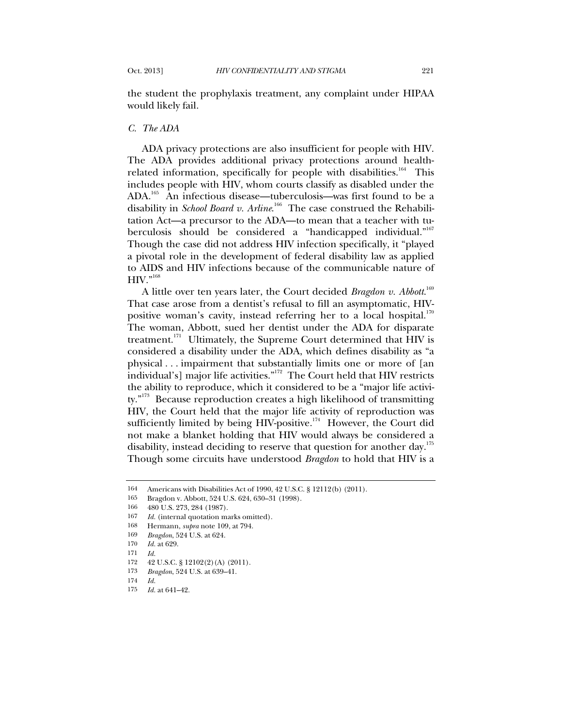the student the prophylaxis treatment, any complaint under HIPAA would likely fail.

## *C. The ADA*

ADA privacy protections are also insufficient for people with HIV. The ADA provides additional privacy protections around healthrelated information, specifically for people with disabilities.<sup>164</sup> This includes people with HIV, whom courts classify as disabled under the ADA.<sup>165</sup> An infectious disease—tuberculosis—was first found to be a disability in *School Board v. Arline*. 166 The case construed the Rehabilitation Act—a precursor to the ADA—to mean that a teacher with tuberculosis should be considered a "handicapped individual."<sup>167</sup> Though the case did not address HIV infection specifically, it "played a pivotal role in the development of federal disability law as applied to AIDS and HIV infections because of the communicable nature of  $HW.$ <sup>"168</sup>

A little over ten years later, the Court decided *Bragdon v. Abbott*. 169 That case arose from a dentist's refusal to fill an asymptomatic, HIVpositive woman's cavity, instead referring her to a local hospital.<sup>170</sup> The woman, Abbott, sued her dentist under the ADA for disparate treatment. $^{171}$  Ultimately, the Supreme Court determined that HIV is considered a disability under the ADA, which defines disability as "a physical . . . impairment that substantially limits one or more of [an individual's] major life activities."<sup>172</sup> The Court held that HIV restricts the ability to reproduce, which it considered to be a "major life activity."173 Because reproduction creates a high likelihood of transmitting HIV, the Court held that the major life activity of reproduction was sufficiently limited by being HIV-positive.<sup>174</sup> However, the Court did not make a blanket holding that HIV would always be considered a disability, instead deciding to reserve that question for another day.<sup>175</sup> Though some circuits have understood *Bragdon* to hold that HIV is a

<sup>164</sup> Americans with Disabilities Act of 1990, 42 U.S.C. § 12112(b) (2011).

<sup>165</sup> Bragdon v. Abbott, 524 U.S. 624, 630–31 (1998).

<sup>166</sup> 480 U.S. 273, 284 (1987).

<sup>167</sup> *Id.* (internal quotation marks omitted).

<sup>168</sup> Hermann, *supra* note 109, at 794.

<sup>169</sup> *Bragdon*, 524 U.S. at 624.

<sup>170</sup> *Id.* at 629. 171 *Id.*

<sup>172</sup> 42 U.S.C. § 12102(2)(A) (2011).

<sup>173</sup> *Bragdon*, 524 U.S. at 639–41.

<sup>174</sup> *Id.*

<sup>175</sup> *Id.* at 641–42.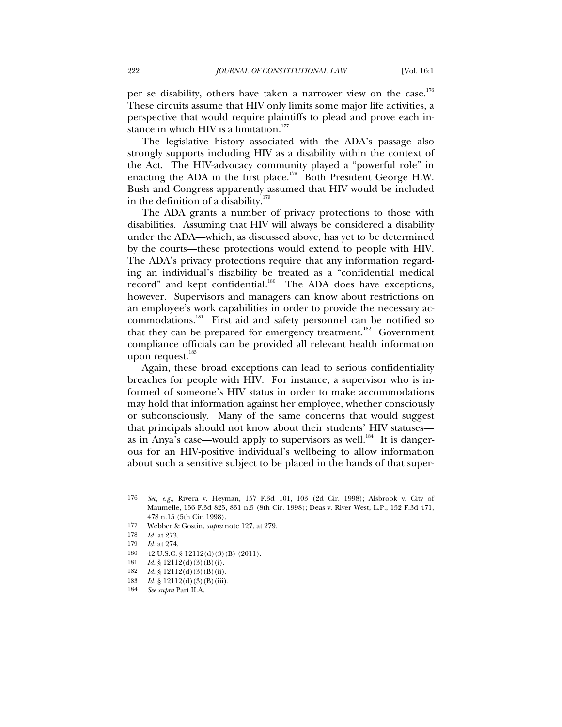per se disability, others have taken a narrower view on the case.<sup>176</sup> These circuits assume that HIV only limits some major life activities, a perspective that would require plaintiffs to plead and prove each instance in which HIV is a limitation. $177$ 

The legislative history associated with the ADA's passage also strongly supports including HIV as a disability within the context of the Act. The HIV-advocacy community played a "powerful role" in enacting the ADA in the first place.<sup>178</sup> Both President George H.W. Bush and Congress apparently assumed that HIV would be included in the definition of a disability.<sup>179</sup>

The ADA grants a number of privacy protections to those with disabilities. Assuming that HIV will always be considered a disability under the ADA—which, as discussed above, has yet to be determined by the courts—these protections would extend to people with HIV. The ADA's privacy protections require that any information regarding an individual's disability be treated as a "confidential medical record" and kept confidential. $180$  The ADA does have exceptions, however. Supervisors and managers can know about restrictions on an employee's work capabilities in order to provide the necessary accommodations.<sup>181</sup> First aid and safety personnel can be notified so that they can be prepared for emergency treatment.<sup>182</sup> Government compliance officials can be provided all relevant health information upon request.<sup>183</sup>

Again, these broad exceptions can lead to serious confidentiality breaches for people with HIV. For instance, a supervisor who is informed of someone's HIV status in order to make accommodations may hold that information against her employee, whether consciously or subconsciously. Many of the same concerns that would suggest that principals should not know about their students' HIV statuses as in Anya's case—would apply to supervisors as well.<sup>184</sup> It is dangerous for an HIV-positive individual's wellbeing to allow information about such a sensitive subject to be placed in the hands of that super-

<sup>176</sup> *See, e.g.*, Rivera v. Heyman, 157 F.3d 101, 103 (2d Cir. 1998); Alsbrook v. City of Maumelle, 156 F.3d 825, 831 n.5 (8th Cir. 1998); Deas v. River West, L.P., 152 F.3d 471, 478 n.15 (5th Cir. 1998).

<sup>177</sup> Webber & Gostin, *supra* note 127, at 279.

<sup>178</sup> *Id.* at 273.

<sup>179</sup> *Id.* at 274.

<sup>180 42</sup> U.S.C. § 12112(d)(3)(B) (2011).

<sup>181</sup> *Id.* § 12112(d)(3)(B)(i).

<sup>182</sup> *Id.* § 12112(d)(3)(B)(ii).

<sup>183</sup> *Id.* § 12112(d)(3)(B)(iii).

<sup>184</sup> *See supra* Part II.A.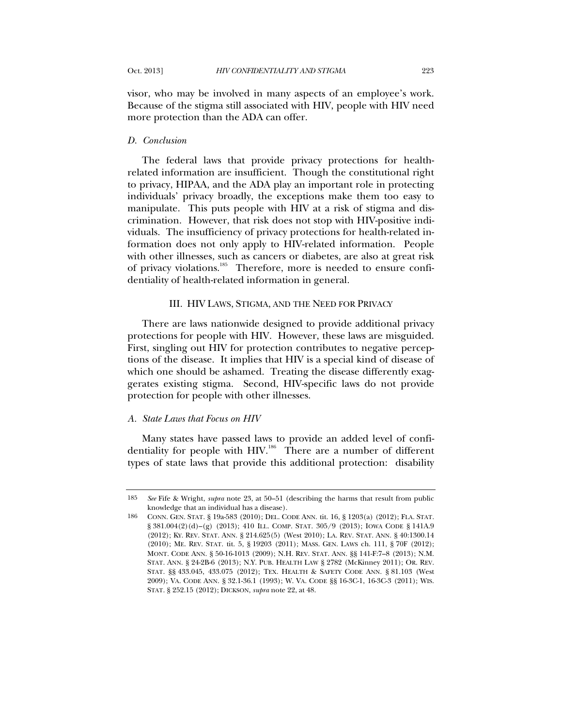visor, who may be involved in many aspects of an employee's work. Because of the stigma still associated with HIV, people with HIV need more protection than the ADA can offer.

## *D. Conclusion*

The federal laws that provide privacy protections for healthrelated information are insufficient. Though the constitutional right to privacy, HIPAA, and the ADA play an important role in protecting individuals' privacy broadly, the exceptions make them too easy to manipulate. This puts people with HIV at a risk of stigma and discrimination. However, that risk does not stop with HIV-positive individuals. The insufficiency of privacy protections for health-related information does not only apply to HIV-related information. People with other illnesses, such as cancers or diabetes, are also at great risk of privacy violations.<sup>185</sup> Therefore, more is needed to ensure confidentiality of health-related information in general.

## III. HIV LAWS, STIGMA, AND THE NEED FOR PRIVACY

There are laws nationwide designed to provide additional privacy protections for people with HIV. However, these laws are misguided. First, singling out HIV for protection contributes to negative perceptions of the disease. It implies that HIV is a special kind of disease of which one should be ashamed. Treating the disease differently exaggerates existing stigma. Second, HIV-specific laws do not provide protection for people with other illnesses.

### *A. State Laws that Focus on HIV*

Many states have passed laws to provide an added level of confidentiality for people with HIV.<sup>186</sup> There are a number of different types of state laws that provide this additional protection: disability

<sup>185</sup> *See* Fife & Wright, *supra* note 23, at 50–51 (describing the harms that result from public knowledge that an individual has a disease).

<sup>186</sup> CONN. GEN. STAT. § 19a-583 (2010); DEL. CODE ANN. tit. 16, § 1203(a) (2012); FLA. STAT. § 381.004(2)(d)–(g) (2013); 410 ILL. COMP. STAT. 305/9 (2013); IOWA CODE § 141A.9 (2012); KY. REV. STAT. ANN. § 214.625(5) (West 2010); LA. REV. STAT. ANN. § 40:1300.14 (2010); ME. REV. STAT. tit. 5, § 19203 (2011); MASS. GEN. LAWS ch. 111, § 70F (2012); MONT. CODE ANN. § 50-16-1013 (2009); N.H. REV. STAT. ANN. §§ 141-F:7–8 (2013); N.M. STAT. ANN. § 24-2B-6 (2013); N.Y. PUB. HEALTH LAW § 2782 (McKinney 2011); OR. REV. STAT. §§ 433.045, 433.075 (2012); TEX. HEALTH & SAFETY CODE ANN. § 81.103 (West 2009); VA. CODE ANN. § 32.1-36.1 (1993); W. VA. CODE §§ 16-3C-1, 16-3C-3 (2011); WIS. STAT. § 252.15 (2012); DICKSON, *supra* not[e 22,](#page-2-1) at 48.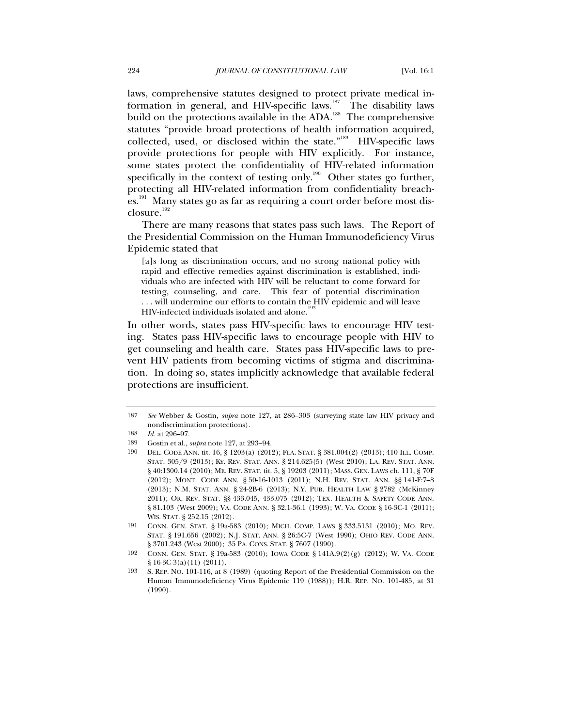laws, comprehensive statutes designed to protect private medical information in general, and HIV-specific laws.<sup>187</sup> The disability laws build on the protections available in the ADA.<sup>188</sup> The comprehensive statutes "provide broad protections of health information acquired, collected, used, or disclosed within the state."<sup>189</sup> HIV-specific laws provide protections for people with HIV explicitly. For instance, some states protect the confidentiality of HIV-related information specifically in the context of testing only.<sup>190</sup> Other states go further, protecting all HIV-related information from confidentiality breaches.<sup>191</sup> Many states go as far as requiring a court order before most disclosure.<sup>192</sup>

There are many reasons that states pass such laws. The Report of the Presidential Commission on the Human Immunodeficiency Virus Epidemic stated that

[a]s long as discrimination occurs, and no strong national policy with rapid and effective remedies against discrimination is established, individuals who are infected with HIV will be reluctant to come forward for testing, counseling, and care. This fear of potential discrimination . . . will undermine our efforts to contain the HIV epidemic and will leave HIV-infected individuals isolated and alone.<sup>19</sup>

In other words, states pass HIV-specific laws to encourage HIV testing. States pass HIV-specific laws to encourage people with HIV to get counseling and health care. States pass HIV-specific laws to prevent HIV patients from becoming victims of stigma and discrimination. In doing so, states implicitly acknowledge that available federal protections are insufficient.

<sup>187</sup> *See* Webber & Gostin, *supra* note 127, at 286–303 (surveying state law HIV privacy and nondiscrimination protections).

<sup>188</sup> *Id.* at 296–97.

<sup>189</sup> Gostin et al., *supra* note 127, at 293–94.

<sup>190</sup> DEL. CODE ANN. tit. 16, § 1203(a) (2012); FLA. STAT. § 381.004(2) (2013); 410 ILL. COMP. STAT. 305/9 (2013); KY. REV. STAT. ANN. § 214.625(5) (West 2010); LA. REV. STAT. ANN. § 40:1300.14 (2010); ME. REV. STAT. tit. 5, § 19203 (2011); MASS. GEN. LAWS ch. 111, § 70F (2012); MONT. CODE ANN. § 50-16-1013 (2011); N.H. REV. STAT. ANN. §§ 141-F:7–8 (2013); N.M. STAT. ANN. § 24-2B-6 (2013); N.Y. PUB. HEALTH LAW § 2782 (McKinney 2011); OR. REV. STAT. §§ 433.045, 433.075 (2012); TEX. HEALTH & SAFETY CODE ANN. § 81.103 (West 2009); VA. CODE ANN. § 32.1-36.1 (1993); W. VA. CODE § 16-3C-1 (2011); WIS. STAT. § 252.15 (2012).

<sup>191</sup> CONN. GEN. STAT. § 19a-583 (2010); MICH. COMP. LAWS § 333.5131 (2010); MO. REV. STAT. § 191.656 (2002); N.J. STAT. ANN. § 26:5C-7 (West 1990); OHIO REV. CODE ANN. § 3701.243 (West 2000); 35 PA. CONS. STAT. § 7607 (1990).

<sup>192</sup> CONN. GEN. STAT. § 19a-583 (2010); IOWA CODE § 141A.9(2)(g) (2012); W. VA. CODE § 16-3C-3(a)(11)(2011).

<sup>193</sup> S. REP. NO. 101-116, at 8 (1989) (quoting Report of the Presidential Commission on the Human Immunodeficiency Virus Epidemic 119 (1988)); H.R. REP. NO. 101-485, at 31 (1990).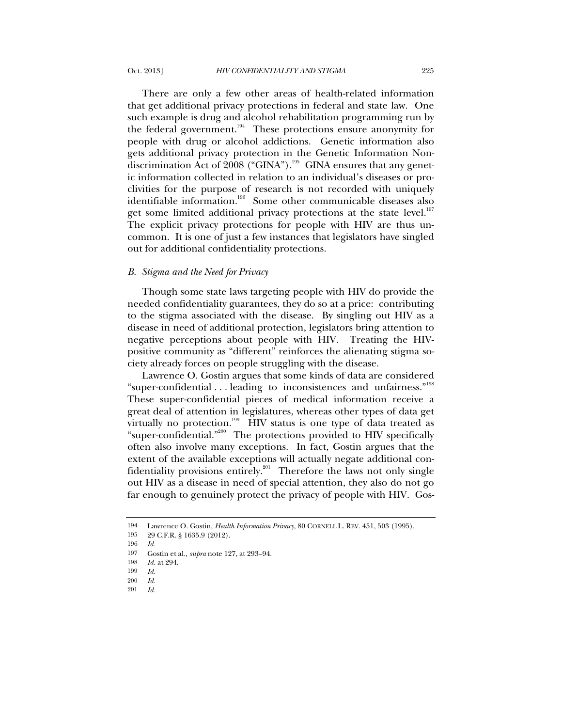There are only a few other areas of health-related information that get additional privacy protections in federal and state law. One such example is drug and alcohol rehabilitation programming run by

the federal government.<sup>194</sup> These protections ensure anonymity for people with drug or alcohol addictions. Genetic information also gets additional privacy protection in the Genetic Information Nondiscrimination Act of  $2008$  ("GINA").<sup>195</sup> GINA ensures that any genetic information collected in relation to an individual's diseases or proclivities for the purpose of research is not recorded with uniquely identifiable information.<sup>196</sup> Some other communicable diseases also get some limited additional privacy protections at the state level.<sup>197</sup> The explicit privacy protections for people with HIV are thus uncommon. It is one of just a few instances that legislators have singled out for additional confidentiality protections.

## *B. Stigma and the Need for Privacy*

Though some state laws targeting people with HIV do provide the needed confidentiality guarantees, they do so at a price: contributing to the stigma associated with the disease. By singling out HIV as a disease in need of additional protection, legislators bring attention to negative perceptions about people with HIV. Treating the HIVpositive community as "different" reinforces the alienating stigma society already forces on people struggling with the disease.

Lawrence O. Gostin argues that some kinds of data are considered "super-confidential . . . leading to inconsistences and unfairness."198 These super-confidential pieces of medical information receive a great deal of attention in legislatures, whereas other types of data get virtually no protection.<sup>199</sup> HIV status is one type of data treated as "super-confidential."200 The protections provided to HIV specifically often also involve many exceptions. In fact, Gostin argues that the extent of the available exceptions will actually negate additional confidentiality provisions entirely.<sup>201</sup> Therefore the laws not only single out HIV as a disease in need of special attention, they also do not go far enough to genuinely protect the privacy of people with HIV. Gos-

<sup>194</sup> Lawrence O. Gostin, *Health Information Privacy*, 80 CORNELL L. REV. 451, 503 (1995).

<sup>195</sup> 29 C.F.R. § 1635.9 (2012).

<sup>196</sup> *Id.*

<sup>197</sup> Gostin et al., *supra* note 127, at 293–94.

<sup>198</sup> *Id.* at 294.

<sup>199</sup> *Id.*

<sup>200</sup> *Id.* 201 *Id.*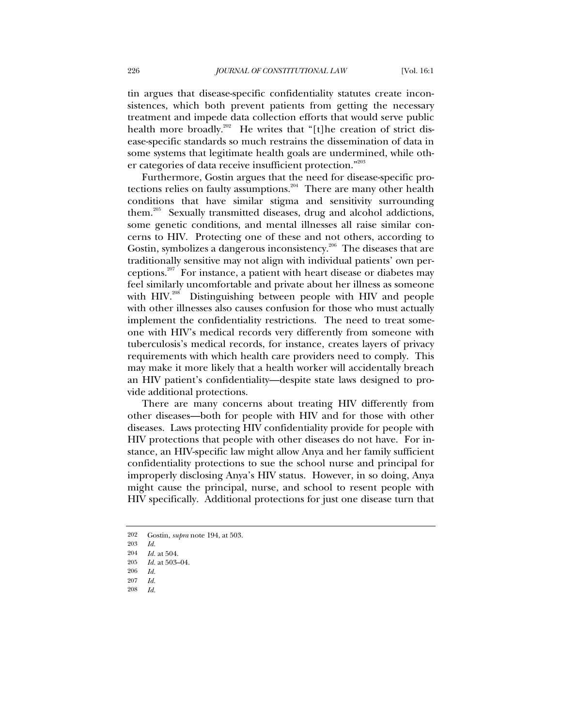tin argues that disease-specific confidentiality statutes create inconsistences, which both prevent patients from getting the necessary treatment and impede data collection efforts that would serve public health more broadly.<sup>202</sup> He writes that "[t]he creation of strict disease-specific standards so much restrains the dissemination of data in some systems that legitimate health goals are undermined, while other categories of data receive insufficient protection."<sup>203</sup>

Furthermore, Gostin argues that the need for disease-specific protections relies on faulty assumptions. $204$  There are many other health conditions that have similar stigma and sensitivity surrounding them.<sup>205</sup> Sexually transmitted diseases, drug and alcohol addictions, some genetic conditions, and mental illnesses all raise similar concerns to HIV. Protecting one of these and not others, according to Gostin, symbolizes a dangerous inconsistency.<sup>206</sup> The diseases that are traditionally sensitive may not align with individual patients' own perceptions.207 For instance, a patient with heart disease or diabetes may feel similarly uncomfortable and private about her illness as someone with HIV.<sup>208</sup> Distinguishing between people with HIV and people with other illnesses also causes confusion for those who must actually implement the confidentiality restrictions. The need to treat someone with HIV's medical records very differently from someone with tuberculosis's medical records, for instance, creates layers of privacy requirements with which health care providers need to comply. This may make it more likely that a health worker will accidentally breach an HIV patient's confidentiality—despite state laws designed to provide additional protections.

There are many concerns about treating HIV differently from other diseases—both for people with HIV and for those with other diseases. Laws protecting HIV confidentiality provide for people with HIV protections that people with other diseases do not have. For instance, an HIV-specific law might allow Anya and her family sufficient confidentiality protections to sue the school nurse and principal for improperly disclosing Anya's HIV status. However, in so doing, Anya might cause the principal, nurse, and school to resent people with HIV specifically. Additional protections for just one disease turn that

<sup>202</sup> Gostin, *supra* note 194, at 503.

<sup>203</sup> *Id.*

<sup>204</sup> *Id.* at 504.

<sup>205</sup> *Id.* at 503–04.

<sup>206</sup> *Id.*

<sup>207</sup> *Id.* 208 *Id.*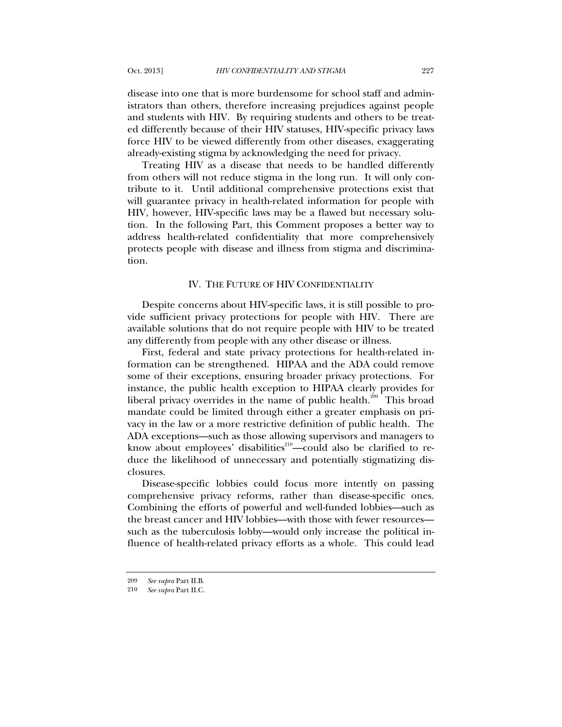disease into one that is more burdensome for school staff and administrators than others, therefore increasing prejudices against people and students with HIV. By requiring students and others to be treated differently because of their HIV statuses, HIV-specific privacy laws force HIV to be viewed differently from other diseases, exaggerating already-existing stigma by acknowledging the need for privacy.

Treating HIV as a disease that needs to be handled differently from others will not reduce stigma in the long run. It will only contribute to it. Until additional comprehensive protections exist that will guarantee privacy in health-related information for people with HIV, however, HIV-specific laws may be a flawed but necessary solution. In the following Part, this Comment proposes a better way to address health-related confidentiality that more comprehensively protects people with disease and illness from stigma and discrimination.

### IV. THE FUTURE OF HIV CONFIDENTIALITY

Despite concerns about HIV-specific laws, it is still possible to provide sufficient privacy protections for people with HIV. There are available solutions that do not require people with HIV to be treated any differently from people with any other disease or illness.

First, federal and state privacy protections for health-related information can be strengthened. HIPAA and the ADA could remove some of their exceptions, ensuring broader privacy protections. For instance, the public health exception to HIPAA clearly provides for liberal privacy overrides in the name of public health.<sup>209</sup> This broad mandate could be limited through either a greater emphasis on privacy in the law or a more restrictive definition of public health. The ADA exceptions—such as those allowing supervisors and managers to know about employees' disabilities<sup>210</sup>—could also be clarified to reduce the likelihood of unnecessary and potentially stigmatizing disclosures.

Disease-specific lobbies could focus more intently on passing comprehensive privacy reforms, rather than disease-specific ones. Combining the efforts of powerful and well-funded lobbies—such as the breast cancer and HIV lobbies—with those with fewer resources such as the tuberculosis lobby—would only increase the political influence of health-related privacy efforts as a whole. This could lead

<sup>209</sup> *See supra* Part II.B.

<sup>210</sup> *See supra* Part II.C.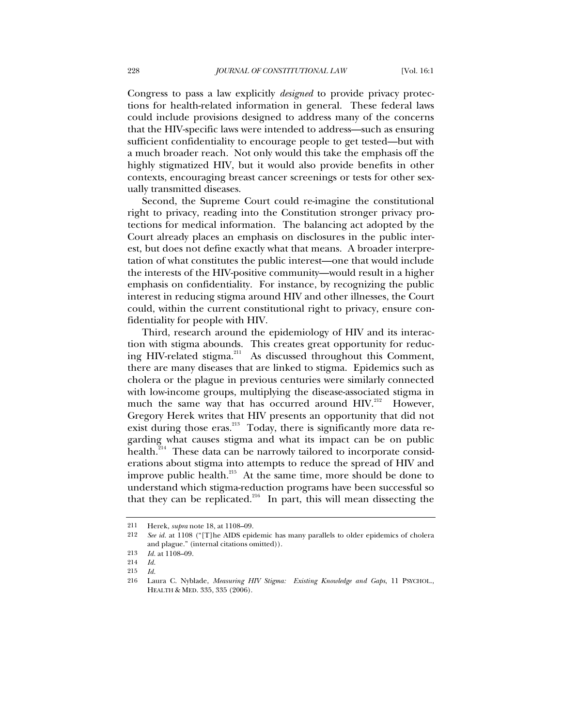Congress to pass a law explicitly *designed* to provide privacy protections for health-related information in general. These federal laws could include provisions designed to address many of the concerns that the HIV-specific laws were intended to address—such as ensuring sufficient confidentiality to encourage people to get tested—but with a much broader reach. Not only would this take the emphasis off the highly stigmatized HIV, but it would also provide benefits in other contexts, encouraging breast cancer screenings or tests for other sexually transmitted diseases.

Second, the Supreme Court could re-imagine the constitutional right to privacy, reading into the Constitution stronger privacy protections for medical information. The balancing act adopted by the Court already places an emphasis on disclosures in the public interest, but does not define exactly what that means. A broader interpretation of what constitutes the public interest—one that would include the interests of the HIV-positive community—would result in a higher emphasis on confidentiality. For instance, by recognizing the public interest in reducing stigma around HIV and other illnesses, the Court could, within the current constitutional right to privacy, ensure confidentiality for people with HIV.

Third, research around the epidemiology of HIV and its interaction with stigma abounds. This creates great opportunity for reducing HIV-related stigma.<sup>211</sup> As discussed throughout this Comment, there are many diseases that are linked to stigma. Epidemics such as cholera or the plague in previous centuries were similarly connected with low-income groups, multiplying the disease-associated stigma in much the same way that has occurred around HIV.<sup>212</sup> However, Gregory Herek writes that HIV presents an opportunity that did not exist during those eras. $^{213}$  Today, there is significantly more data regarding what causes stigma and what its impact can be on public health.<sup>214</sup> These data can be narrowly tailored to incorporate considerations about stigma into attempts to reduce the spread of HIV and improve public health.<sup>215</sup> At the same time, more should be done to understand which stigma-reduction programs have been successful so that they can be replicated. $216$  In part, this will mean dissecting the

<sup>211</sup> Herek, *supra* note 18, at 1108–09.

<sup>212</sup> *See id.* at 1108 ("[T]he AIDS epidemic has many parallels to older epidemics of cholera and plague." (internal citations omitted)).

<sup>213</sup> *Id.* at 1108–09.

<sup>214</sup> *Id.*

<sup>215</sup> *Id.*

<sup>216</sup> Laura C. Nyblade, *Measuring HIV Stigma: Existing Knowledge and Gaps*, 11 PSYCHOL., HEALTH & MED. 335, 335 (2006).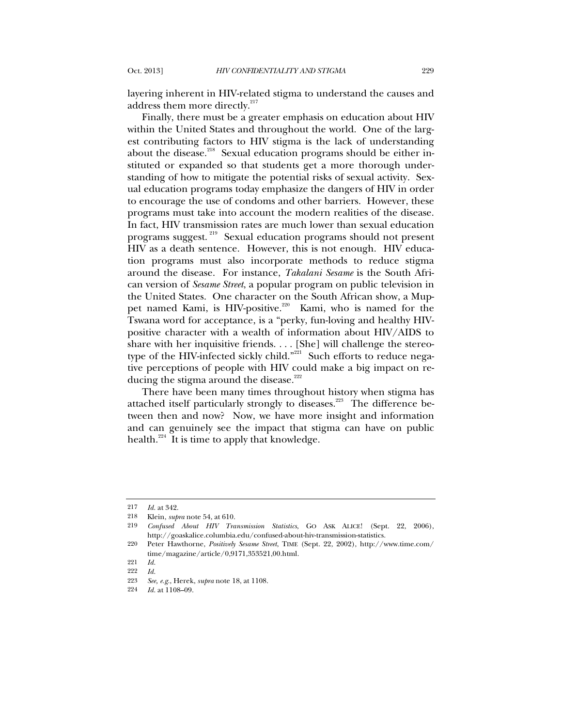layering inherent in HIV-related stigma to understand the causes and address them more directly. $217$ 

Finally, there must be a greater emphasis on education about HIV within the United States and throughout the world. One of the largest contributing factors to HIV stigma is the lack of understanding about the disease.<sup>218</sup> Sexual education programs should be either instituted or expanded so that students get a more thorough understanding of how to mitigate the potential risks of sexual activity. Sexual education programs today emphasize the dangers of HIV in order to encourage the use of condoms and other barriers. However, these programs must take into account the modern realities of the disease. In fact, HIV transmission rates are much lower than sexual education programs suggest. 219 Sexual education programs should not present HIV as a death sentence. However, this is not enough. HIV education programs must also incorporate methods to reduce stigma around the disease. For instance, *Takalani Sesame* is the South African version of *Sesame Street*, a popular program on public television in the United States. One character on the South African show, a Muppet named Kami, is HIV-positive.<sup>220</sup> Kami, who is named for the Tswana word for acceptance, is a "perky, fun-loving and healthy HIVpositive character with a wealth of information about HIV/AIDS to share with her inquisitive friends. . . . [She] will challenge the stereotype of the HIV-infected sickly child."<sup>221</sup> Such efforts to reduce negative perceptions of people with HIV could make a big impact on reducing the stigma around the disease.<sup>222</sup>

There have been many times throughout history when stigma has attached itself particularly strongly to diseases.<sup>223</sup> The difference between then and now? Now, we have more insight and information and can genuinely see the impact that stigma can have on public health. $^{224}$  It is time to apply that knowledge.

<sup>217</sup> *Id.* at 342.

<sup>218</sup> Klein, *supra* note 54, at 610.

<sup>219</sup> *Confused About HIV Transmission Statistics*, GO ASK ALICE! (Sept. 22, 2006), http://goaskalice.columbia.edu/confused-about-hiv-transmission-statistics.

<sup>220</sup> Peter Hawthorne, *Positively Sesame Street*, TIME (Sept. 22, 2002), http://www.time.com/ time/magazine/article/0,9171,353521,00.html.

<sup>221</sup> *Id.*

<sup>222</sup> *Id.*

<sup>223</sup> *See, e.g.*, Herek, *supra* note 18, at 1108.

<sup>224</sup> *Id.* at 1108–09.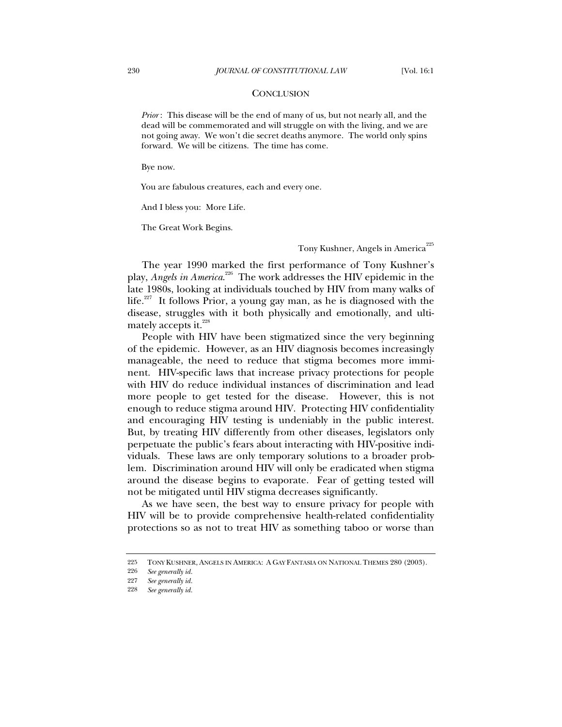#### **CONCLUSION**

*Prior* : This disease will be the end of many of us, but not nearly all, and the dead will be commemorated and will struggle on with the living, and we are not going away. We won't die secret deaths anymore. The world only spins forward. We will be citizens. The time has come.

Bye now.

You are fabulous creatures, each and every one.

And I bless you: More Life.

The Great Work Begins.

### Tony Kushner, Angels in America<sup>225</sup>

The year 1990 marked the first performance of Tony Kushner's play, *Angels in America.*<sup>226</sup> The work addresses the HIV epidemic in the late 1980s, looking at individuals touched by HIV from many walks of life.<sup>227</sup> It follows Prior, a young gay man, as he is diagnosed with the disease, struggles with it both physically and emotionally, and ultimately accepts it.<sup>228</sup>

People with HIV have been stigmatized since the very beginning of the epidemic. However, as an HIV diagnosis becomes increasingly manageable, the need to reduce that stigma becomes more imminent. HIV-specific laws that increase privacy protections for people with HIV do reduce individual instances of discrimination and lead more people to get tested for the disease. However, this is not enough to reduce stigma around HIV. Protecting HIV confidentiality and encouraging HIV testing is undeniably in the public interest. But, by treating HIV differently from other diseases, legislators only perpetuate the public's fears about interacting with HIV-positive individuals. These laws are only temporary solutions to a broader problem. Discrimination around HIV will only be eradicated when stigma around the disease begins to evaporate. Fear of getting tested will not be mitigated until HIV stigma decreases significantly.

As we have seen, the best way to ensure privacy for people with HIV will be to provide comprehensive health-related confidentiality protections so as not to treat HIV as something taboo or worse than

<sup>225</sup> TONY KUSHNER, ANGELS IN AMERICA: A GAY FANTASIA ON NATIONAL THEMES 280 (2003).

<sup>226</sup> *See generally id.*

<sup>227</sup> *See generally id.*

<sup>228</sup> *See generally id.*